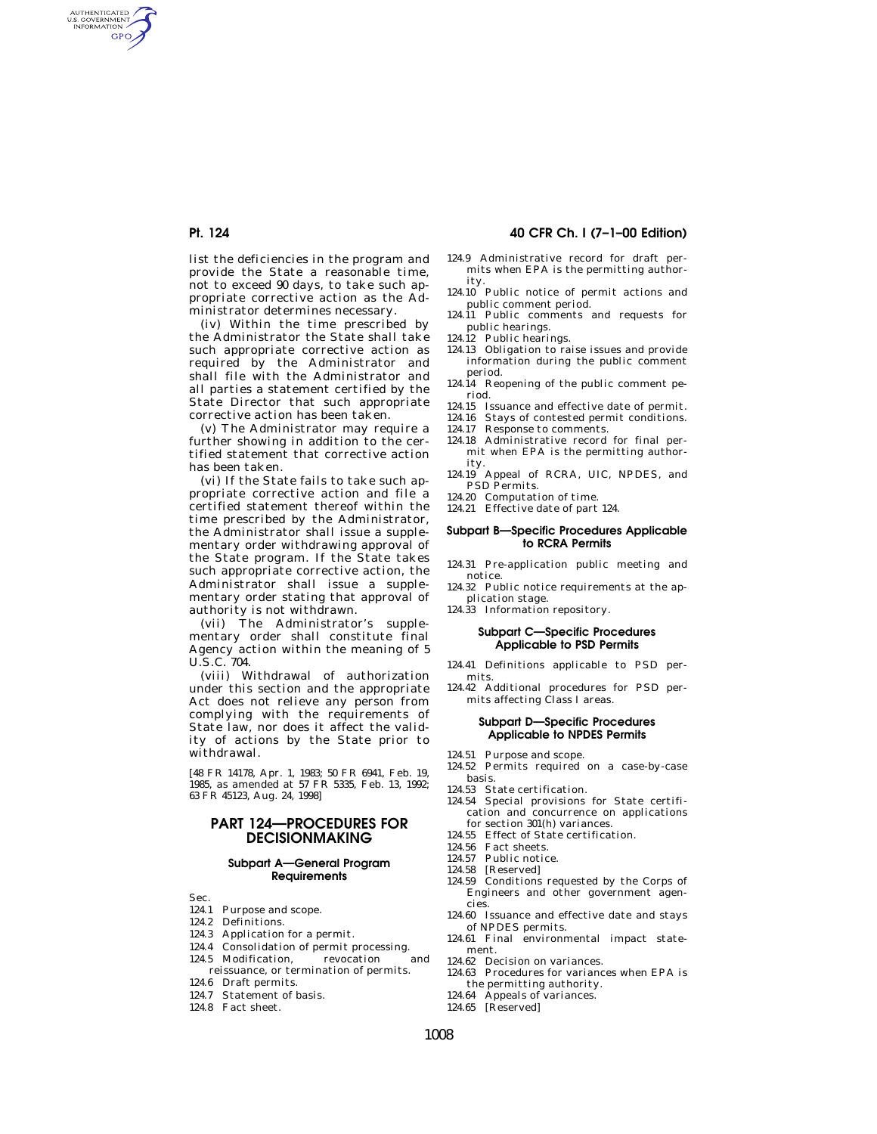AUTHENTICATED<br>U.S. GOVERNMENT<br>INFORMATION **GPO** 

> list the deficiencies in the program and provide the State a reasonable time, not to exceed 90 days, to take such appropriate corrective action as the Administrator determines necessary.

> (iv) Within the time prescribed by the Administrator the State shall take such appropriate corrective action as required by the Administrator and shall file with the Administrator and all parties a statement certified by the State Director that such appropriate corrective action has been taken.

> (v) The Administrator may require a further showing in addition to the certified statement that corrective action has been taken.

(vi) If the State fails to take such appropriate corrective action and file a certified statement thereof within the time prescribed by the Administrator, the Administrator shall issue a supplementary order withdrawing approval of the State program. If the State takes such appropriate corrective action, the Administrator shall issue a supplementary order stating that approval of authority is not withdrawn.

(vii) The Administrator's supplementary order shall constitute final Agency action within the meaning of 5 U.S.C. 704.

(viii) Withdrawal of authorization under this section and the appropriate Act does not relieve any person from complying with the requirements of State law, nor does it affect the validity of actions by the State prior to withdrawal.

[48 FR 14178, Apr. 1, 1983; 50 FR 6941, Feb. 19, 1985, as amended at 57 FR 5335, Feb. 13, 1992; 63 FR 45123, Aug. 24, 1998]

# **PART 124—PROCEDURES FOR DECISIONMAKING**

## **Subpart A—General Program Requirements**

- Sec.
- 124.1 Purpose and scope.
- 124.2 Definitions.
- 124.3 Application for a permit.
- 124.4 Consolidation of permit processing.
- 124.5 Modification, revocation and
- reissuance, or termination of permits. 124.6 Draft permits.
- 124.7 Statement of basis.
- 124.8 Fact sheet.

# **Pt. 124 40 CFR Ch. I (7–1–00 Edition)**

- 124.9 Administrative record for draft permits when EPA is the permitting authority.
- 124.10 Public notice of permit actions and public comment period.
- 124.11 Public comments and requests for
- public hearings. 124.12 Public hearings.
- 124.13 Obligation to raise issues and provide information during the public comment period.
- 124.14 Reopening of the public comment period.
- 124.15 Issuance and effective date of permit.
- 124.16 Stays of contested permit conditions.
- 124.17 Response to comments.
- 124.18 Administrative record for final permit when EPA is the permitting authority.
- 124.19 Appeal of RCRA, UIC, NPDES, and PSD Permits.
- 124.20 Computation of time.
- 124.21 Effective date of part 124.

#### **Subpart B—Specific Procedures Applicable to RCRA Permits**

- 124.31 Pre-application public meeting and notice.
- 124.32 Public notice requirements at the application stage. 124.33 Information repository.
- 

## **Subpart C—Specific Procedures Applicable to PSD Permits**

- 124.41 Definitions applicable to PSD permits.
- 124.42 Additional procedures for PSD permits affecting Class I areas.

## **Subpart D—Specific Procedures Applicable to NPDES Permits**

- 124.51 Purpose and scope.
- 124.52 Permits required on a case-by-case basis.
- 124.53 State certification.
- 124.54 Special provisions for State certification and concurrence on applications for section 301(h) variances.
- 124.55 Effect of State certification.
- 124.56 Fact sheets.
- 124.57 Public notice.
- 124.58 [Reserved]
- 124.59 Conditions requested by the Corps of Engineers and other government agencies.
- 124.60 Issuance and effective date and stays of NPDES permits.
- 124.61 Final environmental impact statement.
- 124.62 Decision on variances.
- 124.63 Procedures for variances when EPA is the permitting authority.
- 124.64 Appeals of variances.
- 124.65 [Reserved]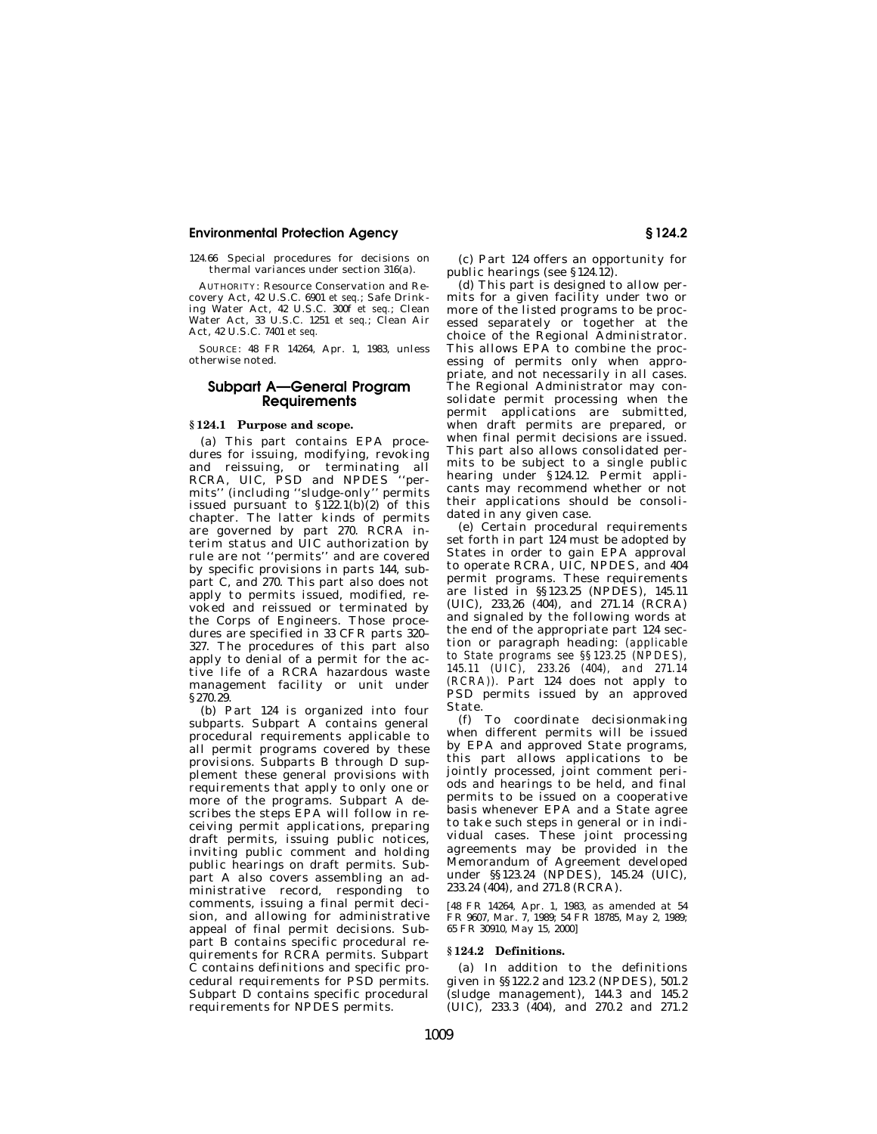124.66 Special procedures for decisions on thermal variances under section 316(a).

AUTHORITY: Resource Conservation and Recovery Act, 42 U.S.C. 6901 *et seq.*; Safe Drinking Water Act, 42 U.S.C. 300f *et seq.*; Clean Water Act, 33 U.S.C. 1251 *et seq.*; Clean Air Act, 42 U.S.C. 7401 *et seq.*

SOURCE: 48 FR 14264, Apr. 1, 1983, unless otherwise noted.

# **Subpart A—General Program Requirements**

## **§ 124.1 Purpose and scope.**

(a) This part contains EPA procedures for issuing, modifying, revoking and reissuing, or terminating all<br>RCRA, UIC, PSD and NPDES "per-RCRA, UIC, PSD and NPDES mits'' (including ''sludge-only'' permits issued pursuant to §122.1(b)(2) of this chapter. The latter kinds of permits are governed by part 270. RCRA interim status and UIC authorization by rule are not ''permits'' and are covered by specific provisions in parts 144, subpart C, and 270. This part also does not apply to permits issued, modified, revoked and reissued or terminated by the Corps of Engineers. Those procedures are specified in 33 CFR parts 320– 327. The procedures of this part also apply to denial of a permit for the active life of a RCRA hazardous waste management facility or unit under §270.29.

(b) Part 124 is organized into four subparts. Subpart A contains general procedural requirements applicable to all permit programs covered by these provisions. Subparts B through D supplement these general provisions with requirements that apply to only one or more of the programs. Subpart A describes the steps EPA will follow in receiving permit applications, preparing draft permits, issuing public notices, inviting public comment and holding public hearings on draft permits. Subpart A also covers assembling an administrative record, responding to comments, issuing a final permit decision, and allowing for administrative appeal of final permit decisions. Subpart B contains specific procedural requirements for RCRA permits. Subpart  $\overline{C}$  contains definitions and specific procedural requirements for PSD permits. Subpart D contains specific procedural requirements for NPDES permits.

(c) Part 124 offers an opportunity for public hearings (see §124.12).

(d) This part is designed to allow permits for a given facility under two or more of the listed programs to be processed separately or together at the choice of the Regional Administrator. This allows EPA to combine the processing of permits only when appropriate, and not necessarily in all cases. The Regional Administrator may consolidate permit processing when the permit applications are submitted, when draft permits are prepared, or when final permit decisions are issued. This part also allows consolidated permits to be subject to a single public hearing under §124.12. Permit applicants may recommend whether or not their applications should be consolidated in any given case.

(e) Certain procedural requirements set forth in part 124 must be adopted by States in order to gain EPA approval to operate RCRA, UIC, NPDES, and 404 permit programs. These requirements are listed in §§123.25 (NPDES), 145.11 (UIC), 233,26 (404), and 271.14 (RCRA) and signaled by the following words at the end of the appropriate part 124 section or paragraph heading: *(applicable to State programs see §§123.25 (NPDES), 145.11 (UIC), 233.26 (404), and 271.14 (RCRA)).* Part 124 does not apply to PSD permits issued by an approved State.

(f) To coordinate decisionmaking when different permits will be issued by EPA and approved State programs, this part allows applications to be jointly processed, joint comment periods and hearings to be held, and final permits to be issued on a cooperative basis whenever EPA and a State agree to take such steps in general or in individual cases. These joint processing agreements may be provided in the Memorandum of Agreement developed under §§123.24 (NPDES), 145.24 (UIC), 233.24 (404), and 271.8 (RCRA).

[48 FR 14264, Apr. 1, 1983, as amended at 54 FR 9607, Mar. 7, 1989; 54 FR 18785, May 2, 1989; 65 FR 30910, May 15, 2000]

## **§ 124.2 Definitions.**

(a) In addition to the definitions given in §§122.2 and 123.2 (NPDES), 501.2 (sludge management), 144.3 and 145.2 (UIC), 233.3 (404), and 270.2 and 271.2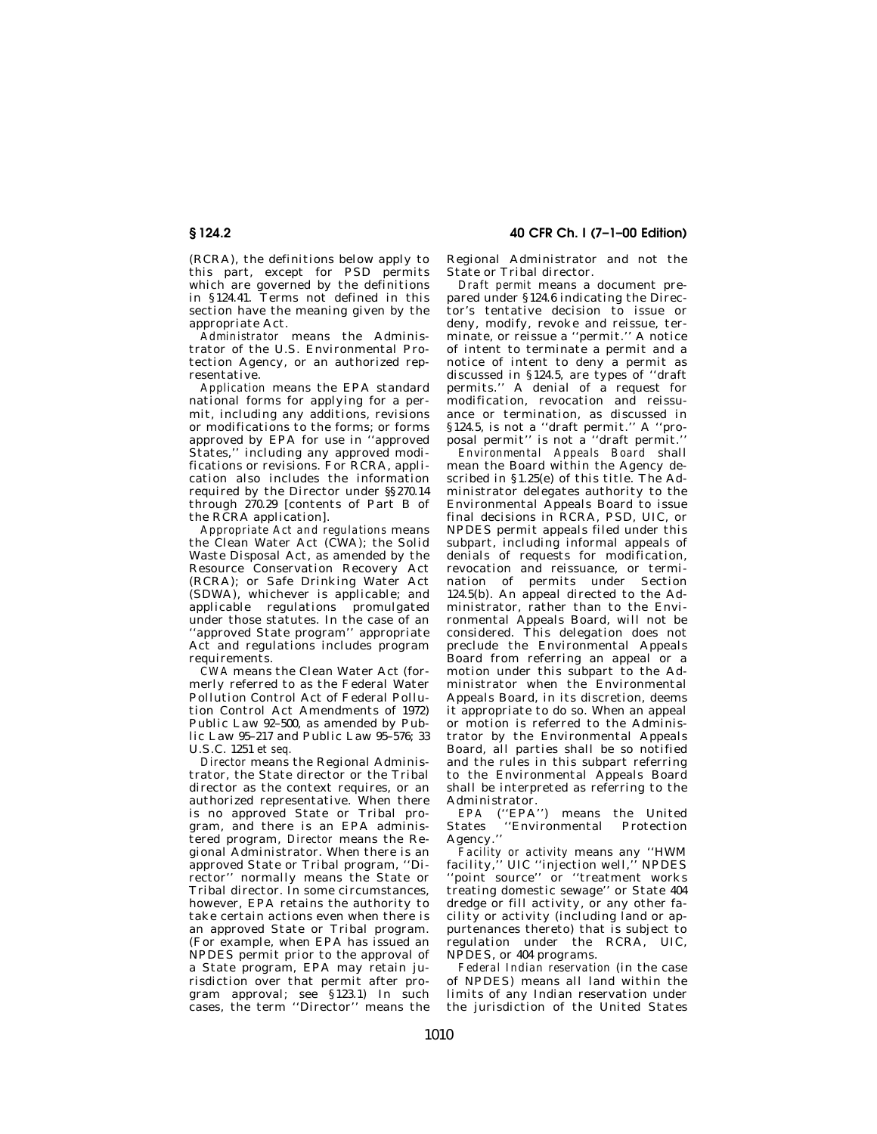(RCRA), the definitions below apply to this part, except for PSD permits which are governed by the definitions in §124.41. Terms not defined in this section have the meaning given by the appropriate Act.

*Administrator* means the Administrator of the U.S. Environmental Protection Agency, or an authorized representative.

*Application* means the EPA standard national forms for applying for a permit, including any additions, revisions or modifications to the forms; or forms approved by EPA for use in ''approved States,'' including any approved modifications or revisions. For RCRA, application also includes the information required by the Director under §§270.14 through 270.29 [contents of Part B of the RCRA application].

*Appropriate Act and regulations* means the Clean Water Act (CWA); the Solid Waste Disposal Act, as amended by the Resource Conservation Recovery Act (RCRA); or Safe Drinking Water Act (SDWA), whichever is applicable; and applicable regulations promulgated under those statutes. In the case of an ''approved State program'' appropriate Act and regulations includes program requirements.

*CWA* means the Clean Water Act (formerly referred to as the Federal Water Pollution Control Act of Federal Pollution Control Act Amendments of 1972) Public Law 92–500, as amended by Public Law 95–217 and Public Law 95–576; 33 U.S.C. 1251 *et seq.*

*Director* means the Regional Administrator, the State director or the Tribal director as the context requires, or an authorized representative. When there is no approved State or Tribal program, and there is an EPA administered program, *Director* means the Regional Administrator. When there is an approved State or Tribal program, ''Director'' normally means the State or Tribal director. In some circumstances, however, EPA retains the authority to take certain actions even when there is an approved State or Tribal program. (For example, when EPA has issued an NPDES permit prior to the approval of a State program, EPA may retain jurisdiction over that permit after program approval; see §123.1) In such cases, the term ''Director'' means the

**§ 124.2 40 CFR Ch. I (7–1–00 Edition)**

Regional Administrator and not the State or Tribal director.

*Draft permit* means a document prepared under §124.6 indicating the Director's tentative decision to issue or deny, modify, revoke and reissue, terminate, or reissue a ''permit.'' A notice of intent to terminate a permit and a notice of intent to deny a permit as discussed in §124.5, are types of ''draft permits.'' A denial of a request for modification, revocation and reissuance or termination, as discussed in §124.5, is not a ''draft permit.'' A ''proposal permit'' is not a ''draft permit.''

*Environmental Appeals Board* shall mean the Board within the Agency described in §1.25(e) of this title. The Administrator delegates authority to the Environmental Appeals Board to issue final decisions in RCRA, PSD, UIC, or NPDES permit appeals filed under this subpart, including informal appeals of denials of requests for modification, revocation and reissuance, or termination of permits under Section 124.5(b). An appeal directed to the Administrator, rather than to the Environmental Appeals Board, will not be considered. This delegation does not preclude the Environmental Appeals .<br>Board from referring an appeal or a motion under this subpart to the Administrator when the Environmental Appeals Board, in its discretion, deems it appropriate to do so. When an appeal or motion is referred to the Administrator by the Environmental Appeals Board, all parties shall be so notified and the rules in this subpart referring to the Environmental Appeals Board shall be interpreted as referring to the Administrator.

*EPA* (''EPA'') means the United States ''Environmental Protection Agency."

*Facility or activity* means any ''HWM facility,'' UIC ''injection well,'' NPDES 'point source'' or "treatment works treating domestic sewage'' or State 404 dredge or fill activity, or any other facility or activity (including land or appurtenances thereto) that is subject to regulation under the RCRA, UIC, NPDES, or 404 programs.

*Federal Indian reservation* (in the case of NPDES) means all land within the limits of any Indian reservation under the jurisdiction of the United States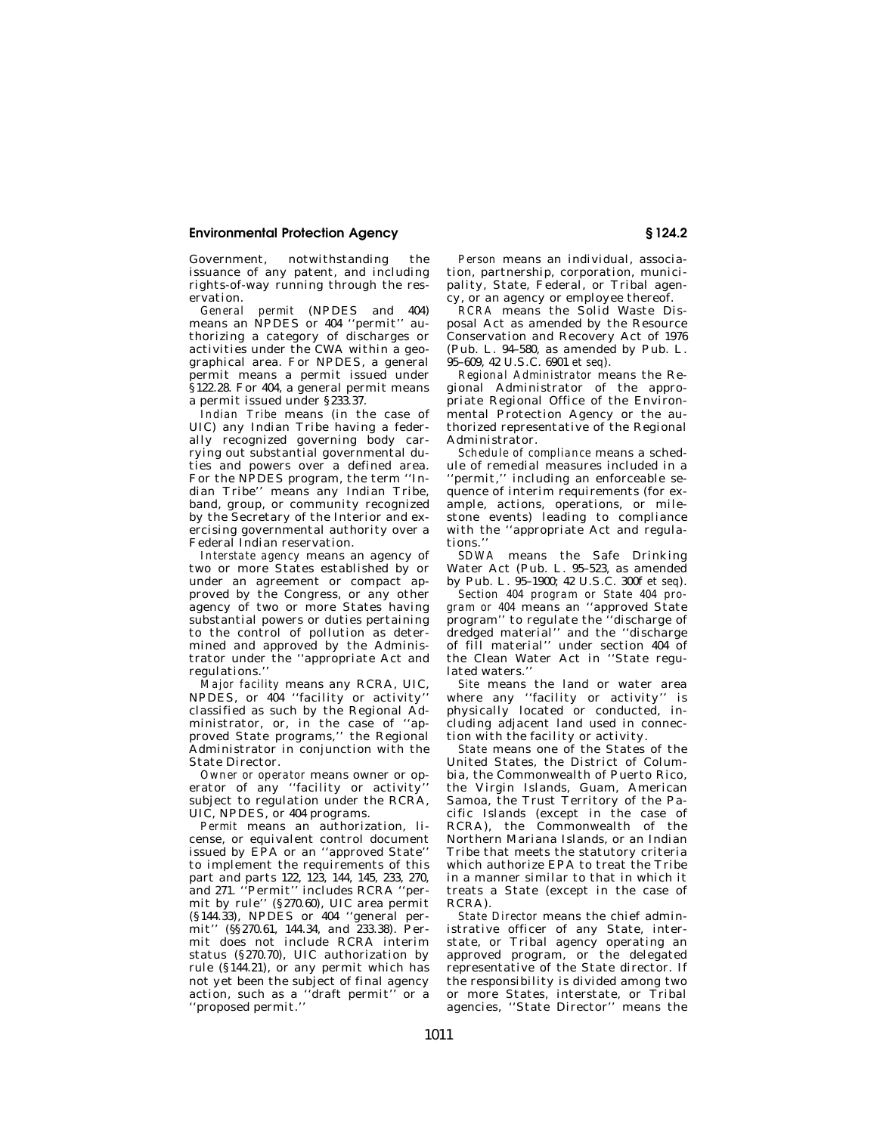Government, notwithstanding the issuance of any patent, and including rights-of-way running through the reservation.

*General permit* (NPDES and 404) means an NPDES or 404 ''permit'' authorizing a category of discharges or activities under the CWA within a geographical area. For NPDES, a general permit means a permit issued under §122.28. For 404, a general permit means a permit issued under §233.37.

*Indian Tribe* means (in the case of UIC) any Indian Tribe having a federally recognized governing body carrying out substantial governmental duties and powers over a defined area. For the NPDES program, the term ''Indian Tribe'' means any Indian Tribe, band, group, or community recognized by the Secretary of the Interior and exercising governmental authority over a Federal Indian reservation.

*Interstate agency* means an agency of two or more States established by or under an agreement or compact approved by the Congress, or any other agency of two or more States having substantial powers or duties pertaining to the control of pollution as determined and approved by the Administrator under the ''appropriate Act and regulations.''

*Major facility* means any RCRA, UIC, NPDES, or  $404$  "facility or activity" classified as such by the Regional Administrator, or, in the case of ''approved State programs,'' the Regional Administrator in conjunction with the State Director.

*Owner or operator* means owner or operator of any "facility or activity subject to regulation under the RCRA, UIC, NPDES, or 404 programs.

*Permit* means an authorization, license, or equivalent control document issued by EPA or an ''approved State'' to implement the requirements of this part and parts 122, 123, 144, 145, 233, 270, and 271. ''Permit'' includes RCRA ''permit by rule'' (§270.60), UIC area permit (§144.33), NPDES or 404 ''general permit'' (§§270.61, 144.34, and 233.38). Permit does not include RCRA interim status (§270.70), UIC authorization by rule (§144.21), or any permit which has not yet been the subject of final agency action, such as a ''draft permit'' or a ''proposed permit.''

*Person* means an individual, association, partnership, corporation, municipality, State, Federal, or Tribal agency, or an agency or employee thereof.

*RCRA* means the Solid Waste Disposal Act as amended by the Resource Conservation and Recovery Act of 1976 (Pub. L. 94–580, as amended by Pub. L. 95–609, 42 U.S.C. 6901 *et seq*).

*Regional Administrator* means the Regional Administrator of the appropriate Regional Office of the Environmental Protection Agency or the authorized representative of the Regional Administrator.

*Schedule of compliance* means a schedule of remedial measures included in a ''permit,'' including an enforceable sequence of interim requirements (for example, actions, operations, or milestone events) leading to compliance with the ''appropriate Act and regulations.''

*SDWA* means the Safe Drinking Water Act (Pub. L. 95–523, as amended by Pub. L. 95–1900; 42 U.S.C. 300f *et seq*).

*Section 404 program or State 404 program or 404* means an ''approved State program'' to regulate the ''discharge of dredged material'' and the ''discharge of fill material'' under section 404 of the Clean Water Act in ''State regulated waters.

*Site* means the land or water area where any "facility or activity" is physically located or conducted, including adjacent land used in connection with the facility or activity.

*State* means one of the States of the United States, the District of Columbia, the Commonwealth of Puerto Rico, the Virgin Islands, Guam, American Samoa, the Trust Territory of the Pacific Islands (except in the case of RCRA), the Commonwealth of the Northern Mariana Islands, or an Indian Tribe that meets the statutory criteria which authorize EPA to treat the Tribe in a manner similar to that in which it treats a State (except in the case of RCRA).

*State Director* means the chief administrative officer of any State, interstate, or Tribal agency operating an approved program, or the delegated representative of the State director. If the responsibility is divided among two or more States, interstate, or Tribal agencies, ''State Director'' means the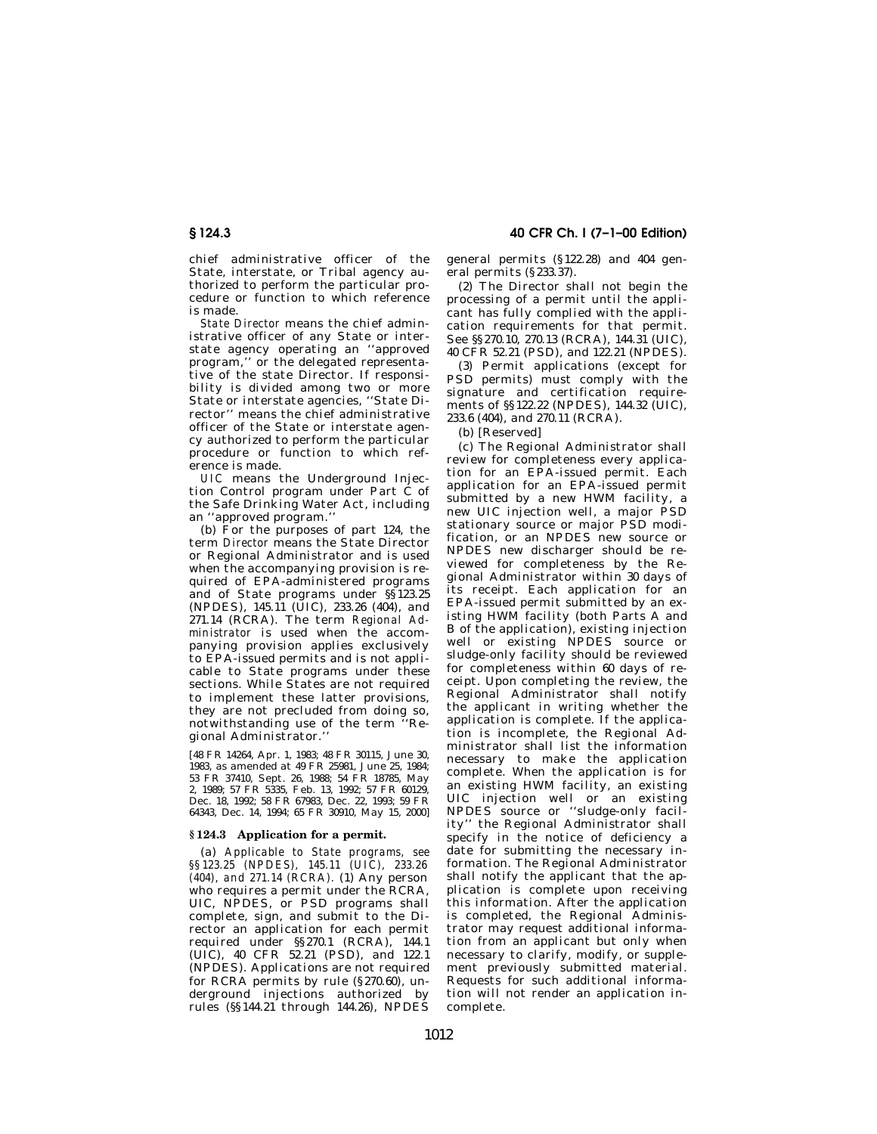chief administrative officer of the State, interstate, or Tribal agency authorized to perform the particular procedure or function to which reference is made.

*State Director* means the chief administrative officer of any State or interstate agency operating an ''approved program,'' or the delegated representative of the state Director. If responsibility is divided among two or more State or interstate agencies, ''State Director'' means the chief administrative officer of the State or interstate agency authorized to perform the particular procedure or function to which reference is made.

*UIC* means the Underground Injection Control program under Part C of the Safe Drinking Water Act, including an ''approved program.''

(b) For the purposes of part 124, the term *Director* means the State Director or Regional Administrator and is used when the accompanying provision is required of EPA-administered programs and of State programs under §§123.25 (NPDES), 145.11 (UIC), 233.26 (404), and 271.14 (RCRA). The term *Regional Administrator* is used when the accompanying provision applies exclusively to EPA-issued permits and is not applicable to State programs under these sections. While States are not required to implement these latter provisions, they are not precluded from doing so, notwithstanding use of the term ''Regional Administrator.''

[48 FR 14264, Apr. 1, 1983; 48 FR 30115, June 30, 1983, as amended at 49 FR 25981, June 25, 1984; 53 FR 37410, Sept. 26, 1988; 54 FR 18785, May 2, 1989; 57 FR 5335, Feb. 13, 1992; 57 FR 60129, Dec. 18, 1992; 58 FR 67983, Dec. 22, 1993; 59 FR 64343, Dec. 14, 1994; 65 FR 30910, May 15, 2000]

### **§ 124.3 Application for a permit.**

(a) *Applicable to State programs, see §§123.25 (NPDES), 145.11 (UIC), 233.26 (404), and 271.14 (RCRA).* (1) Any person who requires a permit under the RCRA, UIC, NPDES, or PSD programs shall complete, sign, and submit to the Director an application for each permit required under §§270.1 (RCRA), 144.1 (UIC), 40 CFR 52.21 (PSD), and 122.1 (NPDES). Applications are not required for RCRA permits by rule (§270.60), underground injections authorized by rules (§§144.21 through 144.26), NPDES

**§ 124.3 40 CFR Ch. I (7–1–00 Edition)**

general permits (§122.28) and 404 general permits (§233.37).

(2) The Director shall not begin the processing of a permit until the applicant has fully complied with the application requirements for that permit. See §§270.10, 270.13 (RCRA), 144.31 (UIC), 40 CFR 52.21 (PSD), and 122.21 (NPDES).

(3) Permit applications (except for PSD permits) must comply with the signature and certification requirements of  $\$  122.22 (NPDES), 144.32 (UIC). 233.6 (404), and 270.11 (RCRA).

(b) [Reserved]

(c) The Regional Administrator shall review for completeness every application for an EPA-issued permit. Each application for an EPA-issued permit submitted by a new HWM facility, a new UIC injection well, a major PSD stationary source or major PSD modification, or an NPDES new source or NPDES new discharger should be reviewed for completeness by the Regional Administrator within 30 days of its receipt. Each application for an EPA-issued permit submitted by an existing HWM facility (both Parts A and B of the application), existing injection well or existing NPDES source or sludge-only facility should be reviewed for completeness within 60 days of receipt. Upon completing the review, the Regional Administrator shall notify the applicant in writing whether the application is complete. If the application is incomplete, the Regional Administrator shall list the information necessary to make the application complete. When the application is for an existing HWM facility, an existing UIC injection well or an existing NPDES source or ''sludge-only facility'' the Regional Administrator shall specify in the notice of deficiency a date for submitting the necessary information. The Regional Administrator shall notify the applicant that the application is complete upon receiving this information. After the application is completed, the Regional Administrator may request additional information from an applicant but only when necessary to clarify, modify, or supplement previously submitted material. Requests for such additional information will not render an application incomplete.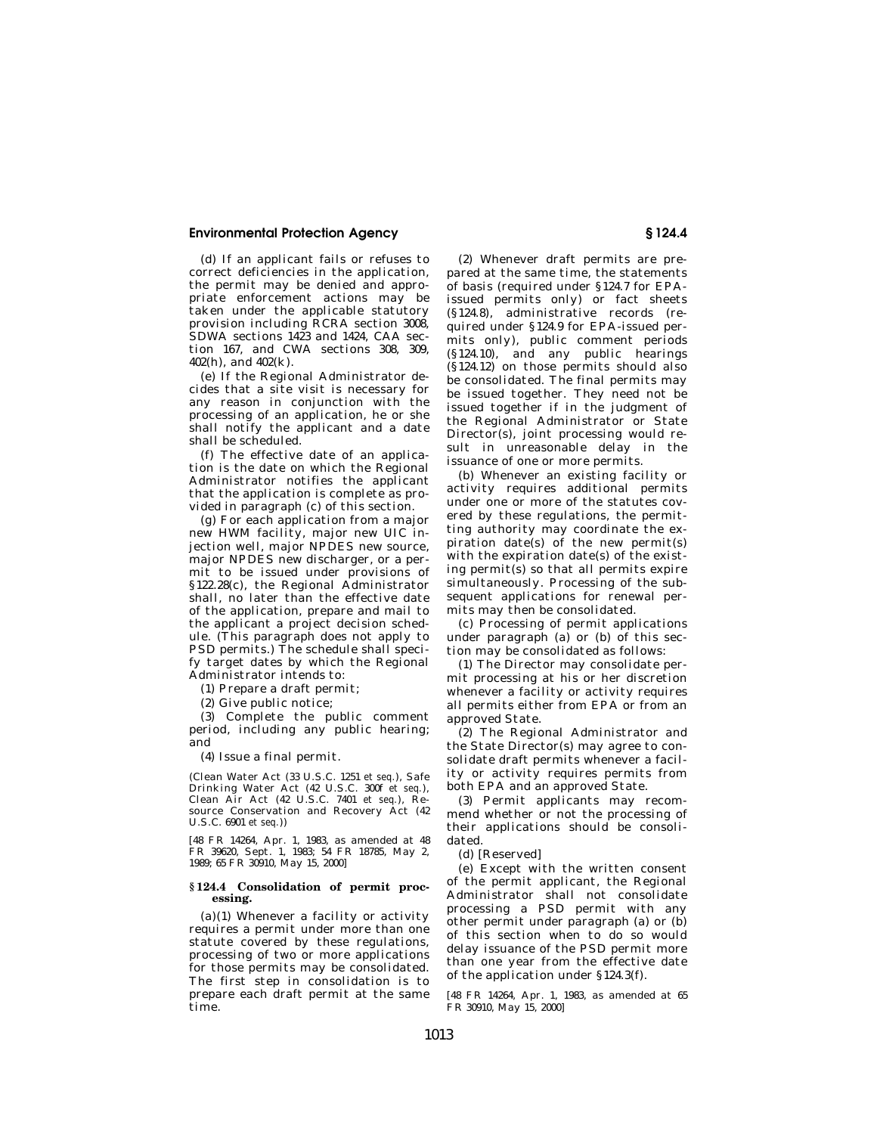(d) If an applicant fails or refuses to correct deficiencies in the application, the permit may be denied and appropriate enforcement actions may be .<br>taken under the applicable statutory provision including RCRA section 3008, SDWA sections 1423 and 1424, CAA section 167, and CWA sections 308, 309, 402(h), and 402(k).

(e) If the Regional Administrator decides that a site visit is necessary for any reason in conjunction with the processing of an application, he or she shall notify the applicant and a date shall be scheduled.

(f) The effective date of an application is the date on which the Regional Administrator notifies the applicant that the application is complete as provided in paragraph (c) of this section.

(g) For each application from a major new HWM facility, major new UIC injection well, major NPDES new source, major NPDES new discharger, or a permit to be issued under provisions of §122.28(c), the Regional Administrator shall, no later than the effective date of the application, prepare and mail to the applicant a project decision schedule. (This paragraph does not apply to PSD permits.) The schedule shall specify target dates by which the Regional Administrator intends to:

(1) Prepare a draft permit;

(2) Give public notice;

(3) Complete the public comment period, including any public hearing; and

(4) Issue a final permit.

(Clean Water Act (33 U.S.C. 1251 *et seq.*), Safe Drinking Water Act (42 U.S.C. 300f *et seq.*), Clean Air Act (42 U.S.C. 7401 *et seq.*), Resource Conservation and Recovery Act (42 U.S.C. 6901 *et seq.*))

[48 FR 14264, Apr. 1, 1983, as amended at 48 FR 39620, Sept. 1, 1983; 54 FR 18785, May 2, 1989; 65 FR 30910, May 15, 2000]

### **§ 124.4 Consolidation of permit processing.**

(a)(1) Whenever a facility or activity requires a permit under more than one statute covered by these regulations, processing of two or more applications for those permits may be consolidated. The first step in consolidation is to prepare each draft permit at the same time.

(2) Whenever draft permits are prepared at the same time, the statements of basis (required under §124.7 for EPAissued permits only) or fact sheets (§124.8), administrative records (required under §124.9 for EPA-issued permits only), public comment periods (§124.10), and any public hearings (§124.12) on those permits should also be consolidated. The final permits may be issued together. They need not be issued together if in the judgment of the Regional Administrator or State Director(s), joint processing would result in unreasonable delay in the issuance of one or more permits.

(b) Whenever an existing facility or activity requires additional permits under one or more of the statutes covered by these regulations, the permitting authority may coordinate the expiration date(s) of the new permit(s) with the expiration date(s) of the existing permit(s) so that all permits expire simultaneously. Processing of the subsequent applications for renewal permits may then be consolidated.

(c) Processing of permit applications under paragraph (a) or (b) of this section may be consolidated as follows:

(1) The Director may consolidate permit processing at his or her discretion whenever a facility or activity requires all permits either from EPA or from an approved State.

(2) The Regional Administrator and the State Director(s) may agree to consolidate draft permits whenever a facility or activity requires permits from both EPA and an approved State.

(3) Permit applicants may recommend whether or not the processing of their applications should be consolidated.

(d) [Reserved]

(e) Except with the written consent of the permit applicant, the Regional Administrator shall not consolidate processing a PSD permit with any other permit under paragraph (a) or (b) of this section when to do so would delay issuance of the PSD permit more than one year from the effective date of the application under §124.3(f).

[48 FR 14264, Apr. 1, 1983, as amended at 65 FR 30910, May 15, 2000]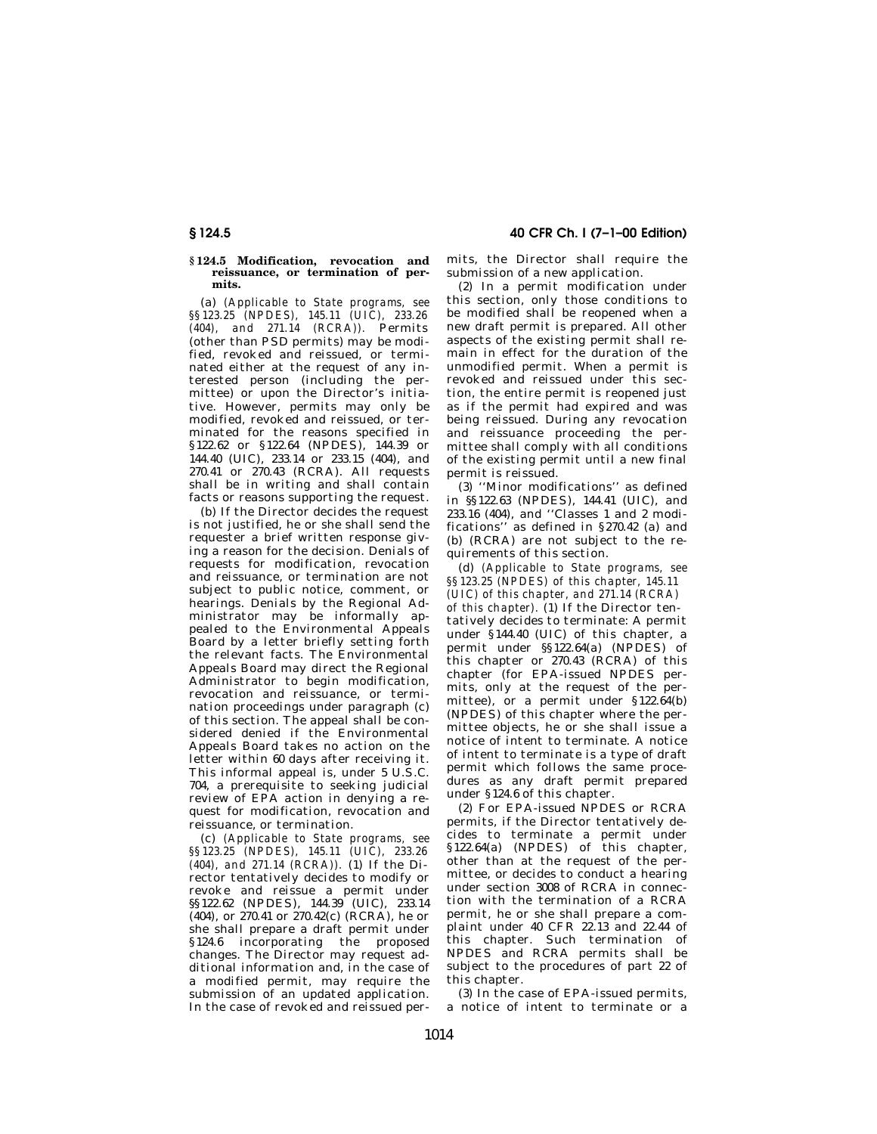#### **§ 124.5 Modification, revocation and reissuance, or termination of permits.**

(a) *(Applicable to State programs, see §§123.25 (NPDES), 145.11 (UIC), 233.26 (404), and 271.14 (RCRA)).* Permits (other than PSD permits) may be modified, revoked and reissued, or terminated either at the request of any interested person (including the permittee) or upon the Director's initiative. However, permits may only be modified, revoked and reissued, or terminated for the reasons specified in §122.62 or §122.64 (NPDES), 144.39 or 144.40 (UIC), 233.14 or 233.15 (404), and 270.41 or 270.43 (RCRA). All requests shall be in writing and shall contain facts or reasons supporting the request.

(b) If the Director decides the request is not justified, he or she shall send the requester a brief written response giving a reason for the decision. Denials of requests for modification, revocation and reissuance, or termination are not subject to public notice, comment, or hearings. Denials by the Regional Administrator may be informally appealed to the Environmental Appeals Board by a letter briefly setting forth the relevant facts. The Environmental Appeals Board may direct the Regional Administrator to begin modification, revocation and reissuance, or termination proceedings under paragraph (c) of this section. The appeal shall be considered denied if the Environmental Appeals Board takes no action on the letter within 60 days after receiving it. This informal appeal is, under 5 U.S.C. 704, a prerequisite to seeking judicial review of EPA action in denying a request for modification, revocation and reissuance, or termination.

(c) *(Applicable to State programs, see §§123.25 (NPDES), 145.11 (UIC), 233.26 (404), and 271.14 (RCRA)).* (1) If the Director tentatively decides to modify or revoke and reissue a permit under §§122.62 (NPDES), 144.39 (UIC), 233.14 (404), or 270.41 or 270.42(c) (RCRA), he or she shall prepare a draft permit under §124.6 incorporating the proposed changes. The Director may request additional information and, in the case of a modified permit, may require the submission of an updated application. In the case of revoked and reissued per-

**§ 124.5 40 CFR Ch. I (7–1–00 Edition)**

mits, the Director shall require the submission of a new application.

(2) In a permit modification under this section, only those conditions to be modified shall be reopened when a new draft permit is prepared. All other aspects of the existing permit shall remain in effect for the duration of the unmodified permit. When a permit is revoked and reissued under this section, the entire permit is reopened just as if the permit had expired and was being reissued. During any revocation and reissuance proceeding the permittee shall comply with all conditions of the existing permit until a new final permit is reissued.

(3) ''Minor modifications'' as defined in §§122.63 (NPDES), 144.41 (UIC), and 233.16 (404), and ''Classes 1 and 2 modifications'' as defined in §270.42 (a) and (b) (RCRA) are not subject to the requirements of this section.

(d) *(Applicable to State programs, see §§123.25 (NPDES) of this chapter, 145.11 (UIC) of this chapter, and 271.14 (RCRA) of this chapter).* (1) If the Director tentatively decides to terminate: A permit under §144.40 (UIC) of this chapter, a permit under §§122.64(a) (NPDES) of this chapter or 270.43 (RCRA) of this chapter (for EPA-issued NPDES permits, only at the request of the permittee), or a permit under §122.64(b) (NPDES) of this chapter where the permittee objects, he or she shall issue a notice of intent to terminate. A notice of intent to terminate is a type of draft permit which follows the same procedures as any draft permit prepared under §124.6 of this chapter.

(2) For EPA-issued NPDES or RCRA permits, if the Director tentatively decides to terminate a permit under §122.64(a) (NPDES) of this chapter, other than at the request of the permittee, or decides to conduct a hearing under section 3008 of RCRA in connection with the termination of a RCRA permit, he or she shall prepare a complaint under 40 CFR 22.13 and 22.44 of this chapter. Such termination of NPDES and RCRA permits shall be subject to the procedures of part 22 of this chapter.

(3) In the case of EPA-issued permits, a notice of intent to terminate or a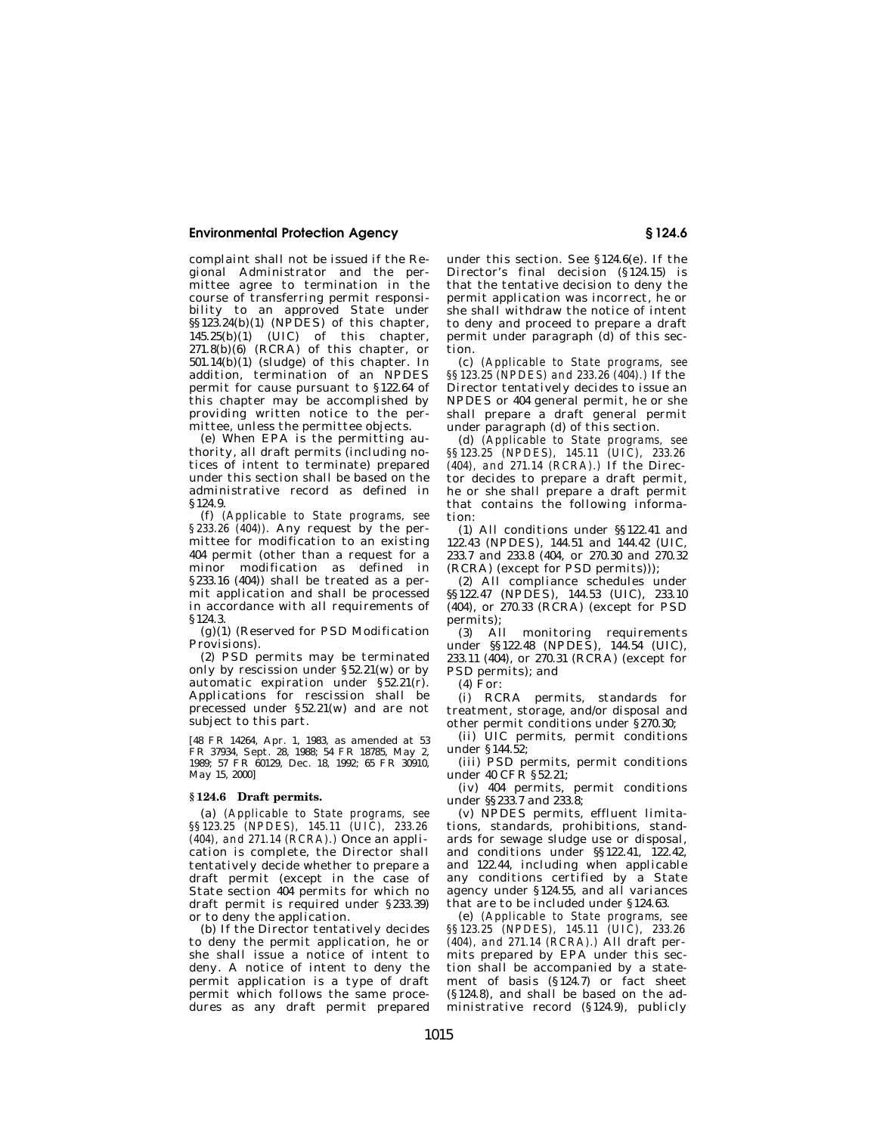complaint shall not be issued if the Regional Administrator and the permittee agree to termination in the course of transferring permit responsibility to an approved State under §§123.24(b)(1) (NPDES) of this chapter,  $145.25(b)(1)$  (UIC) of this chapter, 271.8(b)(6) (RCRA) of this chapter, or 501.14(b)(1) (sludge) of this chapter. In addition, termination of an NPDES permit for cause pursuant to §122.64 of this chapter may be accomplished by providing written notice to the permittee, unless the permittee objects.

(e) When EPA is the permitting authority, all draft permits (including notices of intent to terminate) prepared under this section shall be based on the administrative record as defined in §124.9.

(f) *(Applicable to State programs, see §233.26 (404)).* Any request by the permittee for modification to an existing 404 permit (other than a request for a minor modification as defined in §233.16 (404)) shall be treated as a permit application and shall be processed in accordance with all requirements of §124.3.

(g)(1) (Reserved for PSD Modification Provisions).

(2) PSD permits may be terminated only by rescission under §52.21(w) or by automatic expiration under §52.21(r). Applications for rescission shall be precessed under §52.21(w) and are not subject to this part.

[48 FR 14264, Apr. 1, 1983, as amended at 53 FR 37934, Sept. 28, 1988; 54 FR 18785, May 2, 1989; 57 FR 60129, Dec. 18, 1992; 65 FR 30910, May 15, 2000]

## **§ 124.6 Draft permits.**

(a) *(Applicable to State programs, see §§123.25 (NPDES), 145.11 (UIC), 233.26 (404), and 271.14 (RCRA).)* Once an application is complete, the Director shall tentatively decide whether to prepare a draft permit (except in the case of State section 404 permits for which no draft permit is required under §233.39) or to deny the application.

(b) If the Director tentatively decides to deny the permit application, he or she shall issue a notice of intent to deny. A notice of intent to deny the permit application is a type of draft permit which follows the same procedures as any draft permit prepared

under this section. See §124.6(e). If the Director's final decision (§124.15) is that the tentative decision to deny the permit application was incorrect, he or she shall withdraw the notice of intent to deny and proceed to prepare a draft permit under paragraph (d) of this section.

(c) *(Applicable to State programs, see §§123.25 (NPDES) and 233.26 (404).)* If the Director tentatively decides to issue an NPDES or 404 general permit, he or she shall prepare a draft general permit under paragraph (d) of this section.

(d) *(Applicable to State programs, see §§123.25 (NPDES), 145.11 (UIC), 233.26 (404), and 271.14 (RCRA).)* If the Director decides to prepare a draft permit, he or she shall prepare a draft permit that contains the following information:

(1) All conditions under §§122.41 and 122.43 (NPDES), 144.51 and 144.42 (UIC, 233.7 and 233.8 (404, or 270.30 and 270.32 (RCRA) (except for PSD permits)));

(2) All compliance schedules under §§122.47 (NPDES), 144.53 (UIC), 233.10 (404), or 270.33 (RCRA) (except for PSD permits);

(3) All monitoring requirements under §§122.48 (NPDES), 144.54 (UIC), 233.11 (404), or 270.31 (RCRA) (except for PSD permits); and

 $(4)$  For:

(i) RCRA permits, standards for treatment, storage, and/or disposal and other permit conditions under §270.30;

(ii) UIC permits, permit conditions under §144.52;

(iii) PSD permits, permit conditions under 40 CFR §52.21;

(iv) 404 permits, permit conditions under §§233.7 and 233.8;

(v) NPDES permits, effluent limitations, standards, prohibitions, standards for sewage sludge use or disposal, and conditions under §§122.41, 122.42, and 122.44, including when applicable any conditions certified by  $\overrightarrow{a}$  State agency under §124.55, and all variances that are to be included under §124.63.

(e) *(Applicable to State programs, see §§123.25 (NPDES), 145.11 (UIC), 233.26 (404), and 271.14 (RCRA).)* All draft permits prepared by EPA under this section shall be accompanied by a statement of basis (§124.7) or fact sheet (§124.8), and shall be based on the administrative record (§124.9), publicly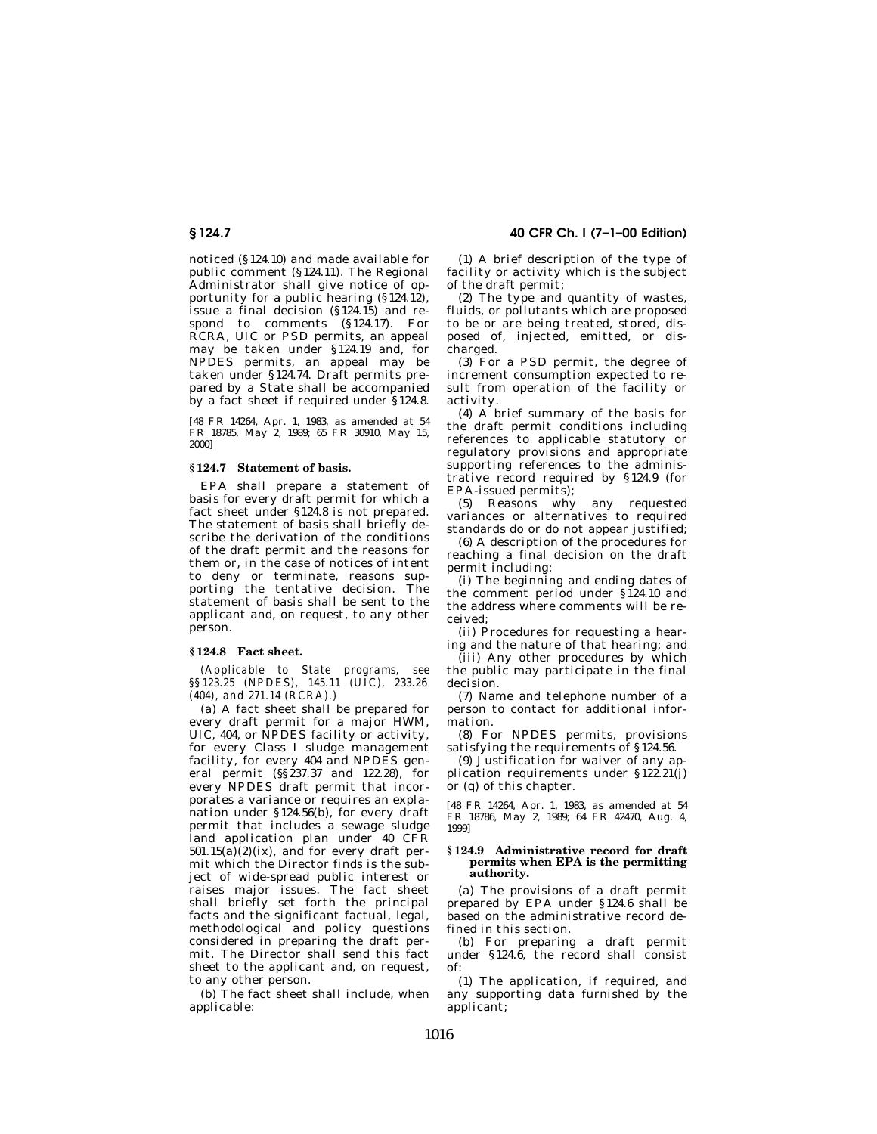**§ 124.7 40 CFR Ch. I (7–1–00 Edition)**

noticed (§124.10) and made available for public comment (§124.11). The Regional Administrator shall give notice of opportunity for a public hearing  $(§ 124.12)$ , issue a final decision (§124.15) and respond to comments (§124.17). For RCRA, UIC or PSD permits, an appeal may be taken under §124.19 and, for NPDES permits, an appeal may be taken under §124.74. Draft permits prepared by a State shall be accompanied by a fact sheet if required under §124.8.

[48 FR 14264, Apr. 1, 1983, as amended at 54 FR 18785, May 2, 1989; 65 FR 30910, May 15, 2000]

#### **§ 124.7 Statement of basis.**

EPA shall prepare a statement of basis for every draft permit for which a fact sheet under §124.8 is not prepared. The statement of basis shall briefly describe the derivation of the conditions of the draft permit and the reasons for them or, in the case of notices of intent to deny or terminate, reasons supporting the tentative decision. The statement of basis shall be sent to the applicant and, on request, to any other person.

## **§ 124.8 Fact sheet.**

*(Applicable to State programs, see §§123.25 (NPDES), 145.11 (UIC), 233.26 (404), and 271.14 (RCRA).)*

(a) A fact sheet shall be prepared for every draft permit for a major HWM, UIC, 404, or NPDES facility or activity, for every Class I sludge management facility, for every 404 and NPDES general permit (§§237.37 and 122.28), for every NPDES draft permit that incorporates a variance or requires an explanation under §124.56(b), for every draft permit that includes a sewage sludge land application plan under 40 CFR  $501.15(a)(2)(ix)$ , and for every draft permit which the Director finds is the subject of wide-spread public interest or raises major issues. The fact sheet shall briefly set forth the principal facts and the significant factual, legal, methodological and policy questions considered in preparing the draft permit. The Director shall send this fact sheet to the applicant and, on request, to any other person.

(b) The fact sheet shall include, when applicable:

(1) A brief description of the type of facility or activity which is the subject of the draft permit;

(2) The type and quantity of wastes, fluids, or pollutants which are proposed to be or are being treated, stored, disposed of, injected, emitted, or discharged.

(3) For a PSD permit, the degree of increment consumption expected to result from operation of the facility or activity.

(4) A brief summary of the basis for the draft permit conditions including references to applicable statutory or regulatory provisions and appropriate supporting references to the administrative record required by §124.9 (for EPA-issued permits);

(5) Reasons why any requested variances or alternatives to required standards do or do not appear justified;

(6) A description of the procedures for reaching a final decision on the draft permit including:

(i) The beginning and ending dates of the comment period under §124.10 and the address where comments will be received;

(ii) Procedures for requesting a hearing and the nature of that hearing; and

(iii) Any other procedures by which the public may participate in the final decision.

(7) Name and telephone number of a person to contact for additional information.

(8) For NPDES permits, provisions satisfying the requirements of §124.56.

(9) Justification for waiver of any application requirements under §122.21(j) or (q) of this chapter.

[48 FR 14264, Apr. 1, 1983, as amended at 54 FR 18786, May 2, 1989; 64 FR 42470, Aug. 4, 1999]

#### **§ 124.9 Administrative record for draft permits when EPA is the permitting authority.**

(a) The provisions of a draft permit prepared by EPA under §124.6 shall be based on the administrative record defined in this section.

(b) For preparing a draft permit under §124.6, the record shall consist of:

(1) The application, if required, and any supporting data furnished by the applicant;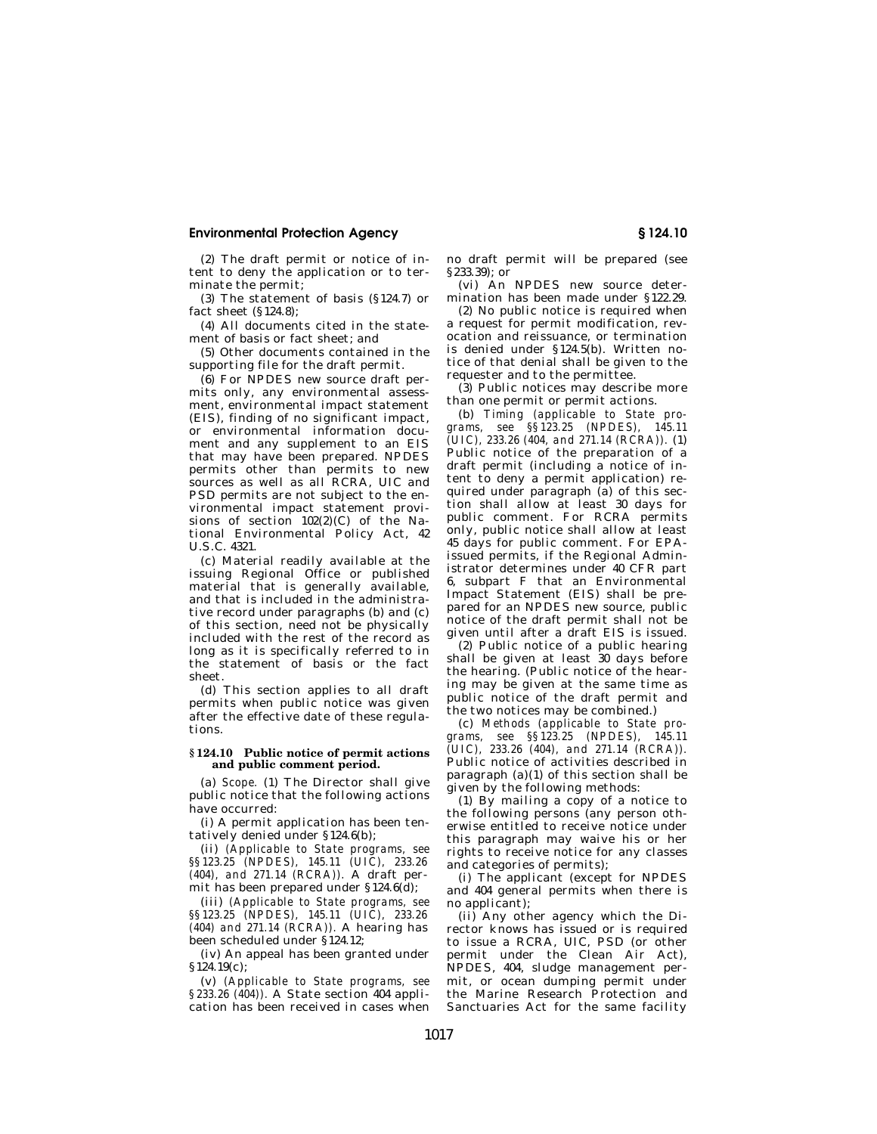(2) The draft permit or notice of intent to deny the application or to terminate the permit;

(3) The statement of basis (§124.7) or fact sheet (§124.8);

(4) All documents cited in the statement of basis or fact sheet; and

(5) Other documents contained in the supporting file for the draft permit.

(6) For NPDES new source draft permits only, any environmental assessment, environmental impact statement (EIS), finding of no significant impact, or environmental information document and any supplement to an EIS that may have been prepared. NPDES permits other than permits to new sources as well as all RCRA, UIC and PSD permits are not subject to the environmental impact statement provisions of section 102(2)(C) of the National Environmental Policy Act, 42 U.S.C. 4321.

(c) Material readily available at the issuing Regional Office or published material that is generally available, and that is included in the administrative record under paragraphs (b) and (c) of this section, need not be physically included with the rest of the record as long as it is specifically referred to in the statement of basis or the fact sheet.

(d) This section applies to all draft permits when public notice was given after the effective date of these regulations.

## **§ 124.10 Public notice of permit actions and public comment period.**

(a) *Scope.* (1) The Director shall give public notice that the following actions have occurred:

(i) A permit application has been tentatively denied under §124.6(b);

(ii) *(Applicable to State programs, see §§123.25 (NPDES), 145.11 (UIC), 233.26 (404), and 271.14 (RCRA)).* A draft permit has been prepared under §124.6(d);

(iii) *(Applicable to State programs, see §§123.25 (NPDES), 145.11 (UIC), 233.26 (404) and 271.14 (RCRA)).* A hearing has been scheduled under §124.12;

(iv) An appeal has been granted under §124.19(c);

(v) *(Applicable to State programs, see §233.26 (404)).* A State section 404 application has been received in cases when

no draft permit will be prepared (see §233.39); or

(vi) An NPDES new source determination has been made under §122.29.

(2) No public notice is required when a request for permit modification, revocation and reissuance, or termination is denied under §124.5(b). Written notice of that denial shall be given to the requester and to the permittee.

(3) Public notices may describe more than one permit or permit actions.

(b) *Timing (applicable to State programs, see §§123.25 (NPDES), 145.11 (UIC), 233.26 (404, and 271.14 (RCRA)).* (1) Public notice of the preparation of a draft permit (including a notice of intent to deny a permit application) required under paragraph (a) of this section shall allow at least 30 days for public comment. For RCRA permits only, public notice shall allow at least 45 days for public comment. For EPAissued permits, if the Regional Administrator determines under 40 CFR part 6, subpart F that an Environmental Impact Statement (EIS) shall be prepared for an NPDES new source, public notice of the draft permit shall not be given until after a draft EIS is issued.

(2) Public notice of a public hearing shall be given at least 30 days before the hearing. (Public notice of the hearing may be given at the same time as public notice of the draft permit and the two notices may be combined.)

(c) *Methods (applicable to State programs, see §§123.25 (NPDES), 145.11 (UIC), 233.26 (404), and 271.14 (RCRA)).* Public notice of activities described in paragraph (a)(1) of this section shall be given by the following methods:

(1) By mailing a copy of a notice to the following persons (any person otherwise entitled to receive notice under this paragraph may waive his or her rights to receive notice for any classes and categories of permits);

(i) The applicant (except for NPDES and 404 general permits when there is no applicant);

(ii) Any other agency which the Director knows has issued or is required to issue a RCRA, UIC, PSD (or other permit under the Clean Air Act), NPDES, 404, sludge management permit, or ocean dumping permit under the Marine Research Protection and Sanctuaries Act for the same facility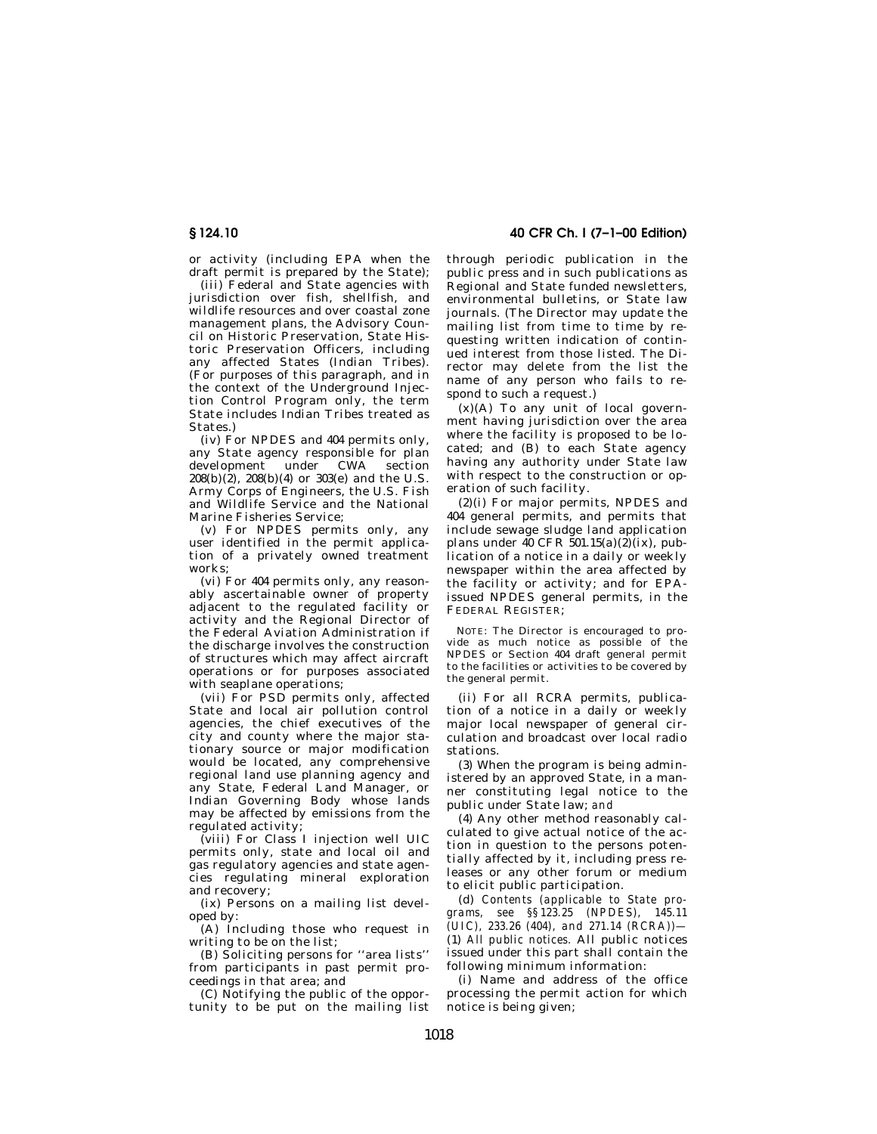or activity (including EPA when the draft permit is prepared by the State);

(iii) Federal and State agencies with jurisdiction over fish, shellfish, and wildlife resources and over coastal zone management plans, the Advisory Council on Historic Preservation, State Historic Preservation Officers, including any affected States (Indian Tribes). (For purposes of this paragraph, and in the context of the Underground Injection Control Program only, the term State includes Indian Tribes treated as States.)

(iv) For NPDES and 404 permits only, any State agency responsible for plan development under CWA section  $208(b)(2)$ ,  $208(b)(4)$  or  $303(e)$  and the U.S. Army Corps of Engineers, the U.S. Fish and Wildlife Service and the National Marine Fisheries Service;

(v) For NPDES permits only, any user identified in the permit application of a privately owned treatment works;

(vi) For 404 permits only, any reasonably ascertainable owner of property adjacent to the regulated facility or activity and the Regional Director of the Federal Aviation Administration if the discharge involves the construction of structures which may affect aircraft operations or for purposes associated with seaplane operations;

(vii) For PSD permits only, affected State and local air pollution control agencies, the chief executives of the city and county where the major stationary source or major modification would be located, any comprehensive regional land use planning agency and any State, Federal Land Manager, or Indian Governing Body whose lands may be affected by emissions from the regulated activity;

(viii) For Class I injection well UIC permits only, state and local oil and gas regulatory agencies and state agencies regulating mineral exploration and recovery;

(ix) Persons on a mailing list developed by:

(A) Including those who request in writing to be on the list;

(B) Soliciting persons for ''area lists'' from participants in past permit proceedings in that area; and

(C) Notifying the public of the opportunity to be put on the mailing list

**§ 124.10 40 CFR Ch. I (7–1–00 Edition)**

through periodic publication in the public press and in such publications as Regional and State funded newsletters, environmental bulletins, or State law journals. (The Director may update the mailing list from time to time by requesting written indication of continued interest from those listed. The Director may delete from the list the name of any person who fails to respond to such a request.)

 $(x)(A)$  To any unit of local government having jurisdiction over the area where the facility is proposed to be located; and (B) to each State agency having any authority under State law with respect to the construction or operation of such facility.

(2)(i) For major permits, NPDES and 404 general permits, and permits that include sewage sludge land application plans under 40 CFR 501.15(a)(2)(ix), publication of a notice in a daily or weekly newspaper within the area affected by the facility or activity; and for EPAissued NPDES general permits, in the FEDERAL REGISTER;

NOTE: The Director is encouraged to provide as much notice as possible of the NPDES or Section 404 draft general permit to the facilities or activities to be covered by the general permit.

(ii) For all RCRA permits, publication of a notice in a daily or weekly major local newspaper of general circulation and broadcast over local radio stations.

(3) When the program is being administered by an approved State, in a manner constituting legal notice to the public under State law; *and*

(4) Any other method reasonably calculated to give actual notice of the action in question to the persons potentially affected by it, including press releases or any other forum or medium to elicit public participation.

(d) *Contents (applicable to State programs, see §§123.25 (NPDES), 145.11 (UIC), 233.26 (404), and 271.14 (RCRA))—* (1) *All public notices.* All public notices issued under this part shall contain the following minimum information:

(i) Name and address of the office processing the permit action for which notice is being given;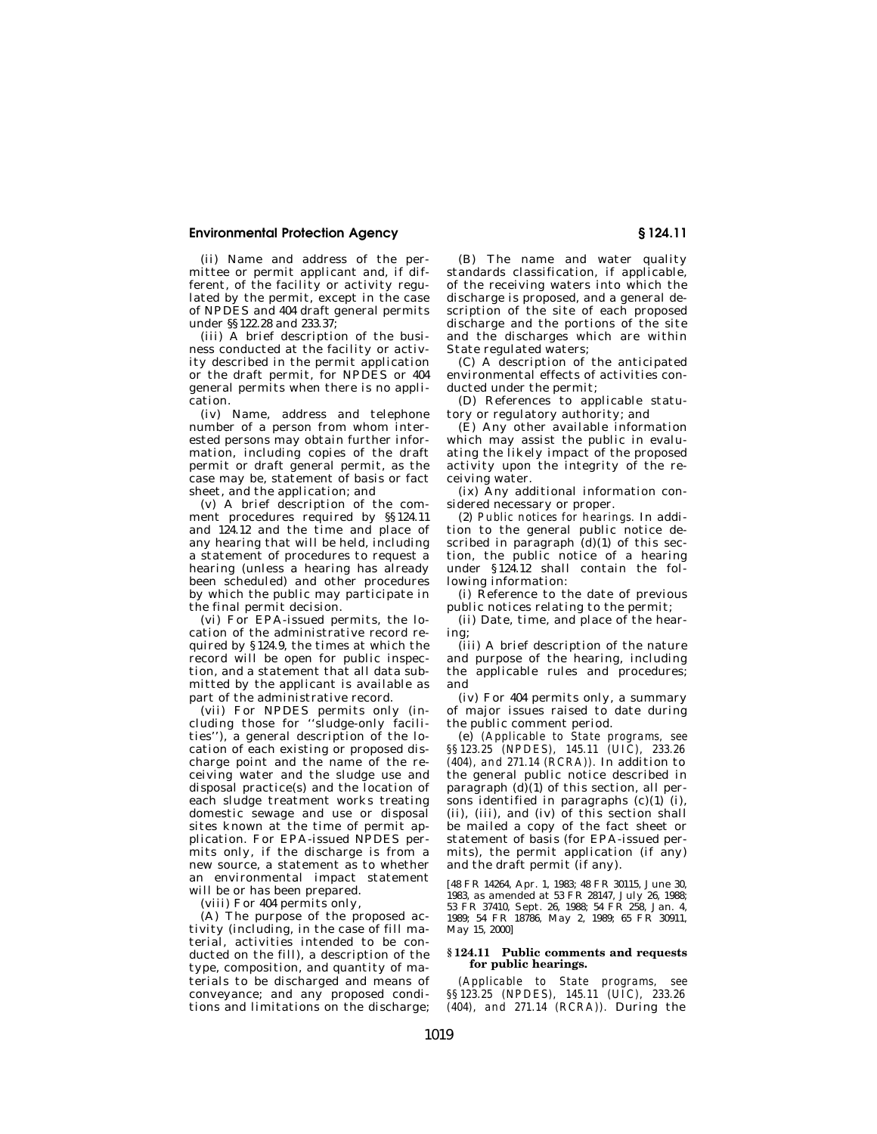(ii) Name and address of the permittee or permit applicant and, if different, of the facility or activity regulated by the permit, except in the case of NPDES and 404 draft general permits under §§122.28 and 233.37;

(iii) A brief description of the business conducted at the facility or activity described in the permit application or the draft permit, for NPDES or 404 general permits when there is no application.

(iv) Name, address and telephone number of a person from whom interested persons may obtain further information, including copies of the draft permit or draft general permit, as the case may be, statement of basis or fact sheet, and the application; and

(v) A brief description of the comment procedures required by §§124.11 and 124.12 and the time and place of any hearing that will be held, including a statement of procedures to request a hearing (unless a hearing has already been scheduled) and other procedures by which the public may participate in the final permit decision.

(vi) For EPA-issued permits, the location of the administrative record required by §124.9, the times at which the record will be open for public inspection, and a statement that all data submitted by the applicant is available as part of the administrative record.

(vii) For NPDES permits only (including those for ''sludge-only facilities''), a general description of the location of each existing or proposed discharge point and the name of the receiving water and the sludge use and disposal practice(s) and the location of each sludge treatment works treating domestic sewage and use or disposal sites known at the time of permit application. For EPA-issued NPDES permits only, if the discharge is from a new source, a statement as to whether an environmental impact statement will be or has been prepared.

(viii) For 404 permits only,

(A) The purpose of the proposed activity (including, in the case of fill material, activities intended to be conducted on the fill), a description of the type, composition, and quantity of materials to be discharged and means of conveyance; and any proposed conditions and limitations on the discharge;

(B) The name and water quality standards classification, if applicable, of the receiving waters into which the discharge is proposed, and a general description of the site of each proposed discharge and the portions of the site and the discharges which are within State regulated waters;

(C) A description of the anticipated environmental effects of activities conducted under the permit;

(D) References to applicable statutory or regulatory authority; and

(E) Any other available information which may assist the public in evaluating the likely impact of the proposed activity upon the integrity of the receiving water.

(ix) Any additional information considered necessary or proper.

(2) *Public notices for hearings.* In addition to the general public notice described in paragraph  $(d)(1)$  of this section, the public notice of a hearing under §124.12 shall contain the following information:

(i) Reference to the date of previous public notices relating to the permit;

(ii) Date, time, and place of the hearing;

(iii) A brief description of the nature and purpose of the hearing, including the applicable rules and procedures; and

(iv) For 404 permits only, a summary of major issues raised to date during the public comment period.

(e) *(Applicable to State programs, see §§123.25 (NPDES), 145.11 (UIC), 233.26 (404), and 271.14 (RCRA)).* In addition to the general public notice described in paragraph  $(d)(1)$  of this section, all persons identified in paragraphs  $(c)(1)$  (i), (ii), (iii), and (iv) of this section shall be mailed a copy of the fact sheet or statement of basis (for EPA-issued permits), the permit application (if any) and the draft permit (if any).

[48 FR 14264, Apr. 1, 1983; 48 FR 30115, June 30, 1983, as amended at 53 FR 28147, July 26, 1988; 53 FR 37410, Sept. 26, 1988; 54 FR 258, Jan. 4, 1989; 54 FR 18786, May 2, 1989; 65 FR 30911, May 15, 2000]

#### **§ 124.11 Public comments and requests for public hearings.**

*(Applicable to State programs, see §§123.25 (NPDES), 145.11 (UIC), 233.26 (404), and 271.14 (RCRA)).* During the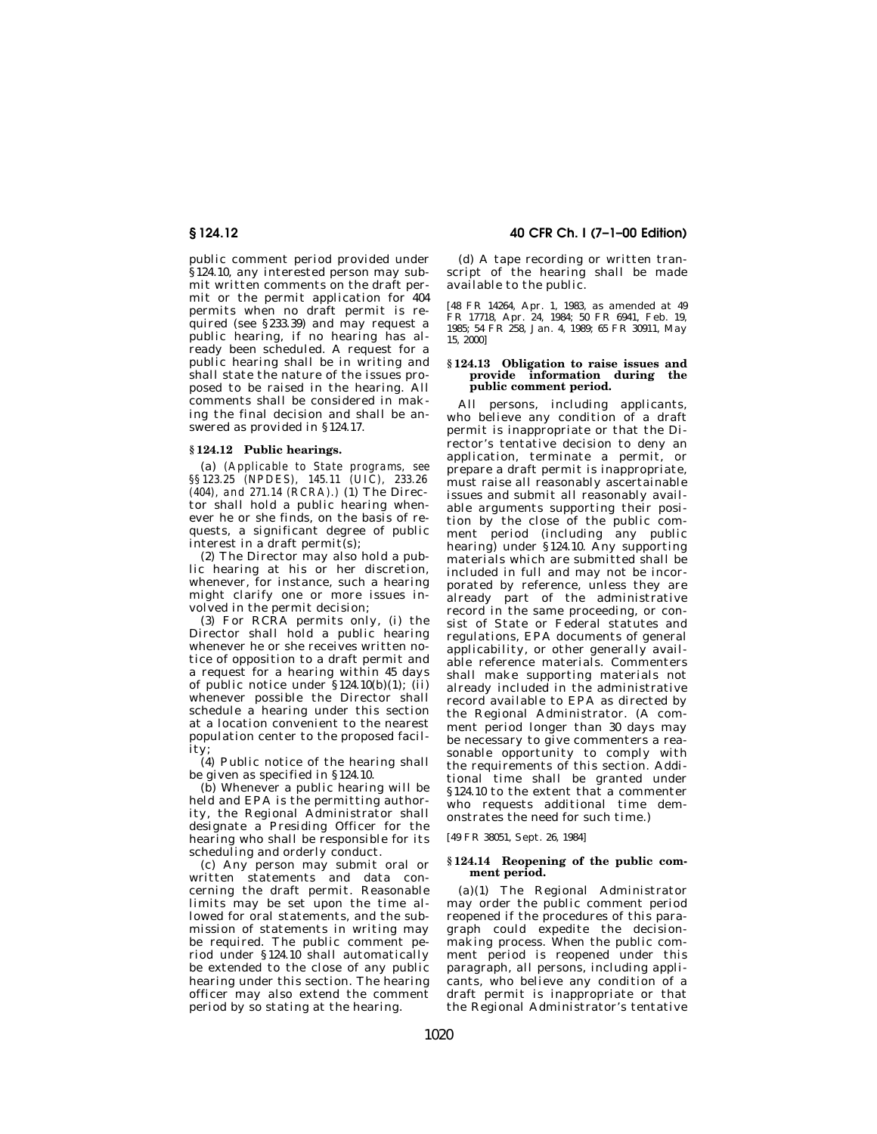public comment period provided under §124.10, any interested person may submit written comments on the draft permit or the permit application for 404 permits when no draft permit is required (see §233.39) and may request a public hearing, if no hearing has already been scheduled. A request for a public hearing shall be in writing and shall state the nature of the issues proposed to be raised in the hearing. All comments shall be considered in making the final decision and shall be answered as provided in §124.17.

## **§ 124.12 Public hearings.**

(a) *(Applicable to State programs, see §§123.25 (NPDES), 145.11 (UIC), 233.26 (404), and 271.14 (RCRA).)* (1) The Director shall hold a public hearing whenever he or she finds, on the basis of requests, a significant degree of public interest in a draft permit(s);

(2) The Director may also hold a public hearing at his or her discretion, whenever, for instance, such a hearing might clarify one or more issues involved in the permit decision;

(3) For RCRA permits only, (i) the Director shall hold a public hearing whenever he or she receives written notice of opposition to a draft permit and a request for a hearing within 45 days of public notice under §124.10(b)(1); (ii) whenever possible the Director shall schedule a hearing under this section at a location convenient to the nearest population center to the proposed facility;

(4) Public notice of the hearing shall be given as specified in §124.10.

(b) Whenever a public hearing will be held and EPA is the permitting authority, the Regional Administrator shall designate a Presiding Officer for the hearing who shall be responsible for its scheduling and orderly conduct.

(c) Any person may submit oral or written statements and data concerning the draft permit. Reasonable limits may be set upon the time allowed for oral statements, and the submission of statements in writing may be required. The public comment period under §124.10 shall automatically be extended to the close of any public hearing under this section. The hearing officer may also extend the comment period by so stating at the hearing.

# **§ 124.12 40 CFR Ch. I (7–1–00 Edition)**

(d) A tape recording or written transcript of the hearing shall be made available to the public.

[48 FR 14264, Apr. 1, 1983, as amended at 49 FR 17718, Apr. 24, 1984; 50 FR 6941, Feb. 19, 1985; 54 FR 258, Jan. 4, 1989; 65 FR 30911, May 15, 2000]

#### **§ 124.13 Obligation to raise issues and provide information during the public comment period.**

All persons, including applicants, who believe any condition of a draft permit is inappropriate or that the Director's tentative decision to deny an application, terminate a permit, or prepare a draft permit is inappropriate, must raise all reasonably ascertainable issues and submit all reasonably available arguments supporting their position by the close of the public comment period (including any public hearing) under §124.10. Any supporting materials which are submitted shall be included in full and may not be incorporated by reference, unless they are already part of the administrative record in the same proceeding, or consist of State or Federal statutes and regulations, EPA documents of general applicability, or other generally available reference materials. Commenters shall make supporting materials not already included in the administrative record available to EPA as directed by the Regional Administrator. (A comment period longer than 30 days may be necessary to give commenters a reasonable opportunity to comply with the requirements of this section. Additional time shall be granted under §124.10 to the extent that a commenter who requests additional time demonstrates the need for such time.)

[49 FR 38051, Sept. 26, 1984]

## **§ 124.14 Reopening of the public comment period.**

(a)(1) The Regional Administrator may order the public comment period reopened if the procedures of this paragraph could expedite the decisionmaking process. When the public comment period is reopened under this paragraph, all persons, including applicants, who believe any condition of a draft permit is inappropriate or that the Regional Administrator's tentative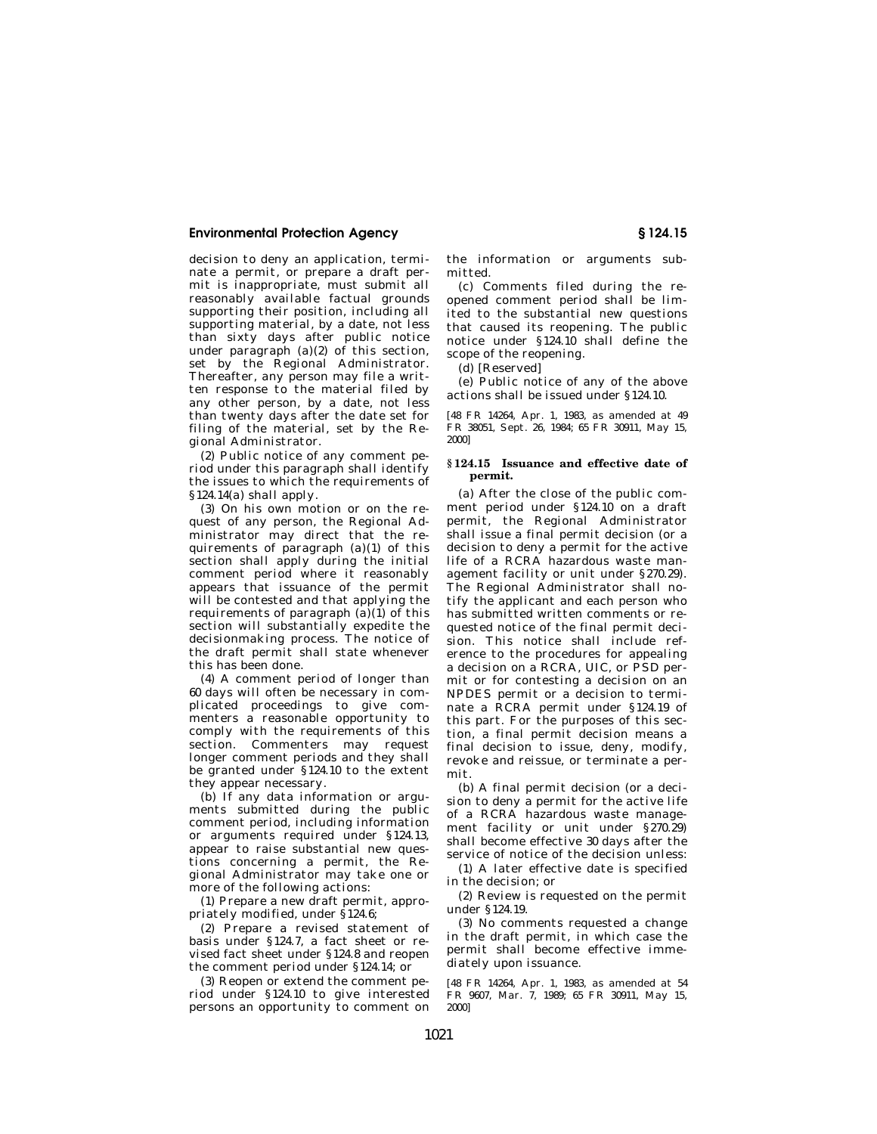decision to deny an application, terminate a permit, or prepare a draft permit is inappropriate, must submit all reasonably available factual grounds supporting their position, including all supporting material, by a date, not less than sixty days after public notice under paragraph  $(a)(2)$  of this section, set by the Regional Administrator. Thereafter, any person may file a written response to the material filed by any other person, by a date, not less than twenty days after the date set for filing of the material, set by the Regional Administrator.

(2) Public notice of any comment period under this paragraph shall identify the issues to which the requirements of §124.14(a) shall apply.

(3) On his own motion or on the request of any person, the Regional Administrator may direct that the requirements of paragraph (a)(1) of this section shall apply during the initial comment period where it reasonably appears that issuance of the permit will be contested and that applying the requirements of paragraph  $(a)(1)$  of this section will substantially expedite the decisionmaking process. The notice of the draft permit shall state whenever this has been done.

(4) A comment period of longer than 60 days will often be necessary in complicated proceedings to give commenters a reasonable opportunity to comply with the requirements of this section. Commenters may request longer comment periods and they shall be granted under §124.10 to the extent they appear necessary.

(b) If any data information or arguments submitted during the public comment period, including information or arguments required under §124.13, appear to raise substantial new questions concerning a permit, the Regional Administrator may take one or more of the following actions:

(1) Prepare a new draft permit, appropriately modified, under §124.6;

(2) Prepare a revised statement of basis under §124.7, a fact sheet or revised fact sheet under §124.8 and reopen the comment period under §124.14; or

(3) Reopen or extend the comment period under §124.10 to give interested persons an opportunity to comment on the information or arguments submitted.

(c) Comments filed during the reopened comment period shall be limited to the substantial new questions that caused its reopening. The public notice under §124.10 shall define the scope of the reopening.

(d) [Reserved]

(e) Public notice of any of the above actions shall be issued under §124.10.

[48 FR 14264, Apr. 1, 1983, as amended at 49 FR 38051, Sept. 26, 1984; 65 FR 30911, May 15, 2000]

## **§ 124.15 Issuance and effective date of permit.**

(a) After the close of the public comment period under §124.10 on a draft permit, the Regional Administrator shall issue a final permit decision (or a decision to deny a permit for the active life of a RCRA hazardous waste management facility or unit under §270.29). The Regional Administrator shall notify the applicant and each person who has submitted written comments or requested notice of the final permit decision. This notice shall include reference to the procedures for appealing a decision on a RCRA, UIC, or PSD permit or for contesting a decision on an NPDES permit or a decision to terminate a RCRA permit under §124.19 of this part. For the purposes of this section, a final permit decision means a final decision to issue, deny, modify, revoke and reissue, or terminate a permit.

(b) A final permit decision (or a decision to deny a permit for the active life of a RCRA hazardous waste management facility or unit under §270.29) shall become effective 30 days after the service of notice of the decision unless:

(1) A later effective date is specified in the decision; or

(2) Review is requested on the permit under §124.19.

(3) No comments requested a change in the draft permit, in which case the permit shall become effective immediately upon issuance.

[48 FR 14264, Apr. 1, 1983, as amended at 54 FR 9607, Mar. 7, 1989; 65 FR 30911, May 15, 2000]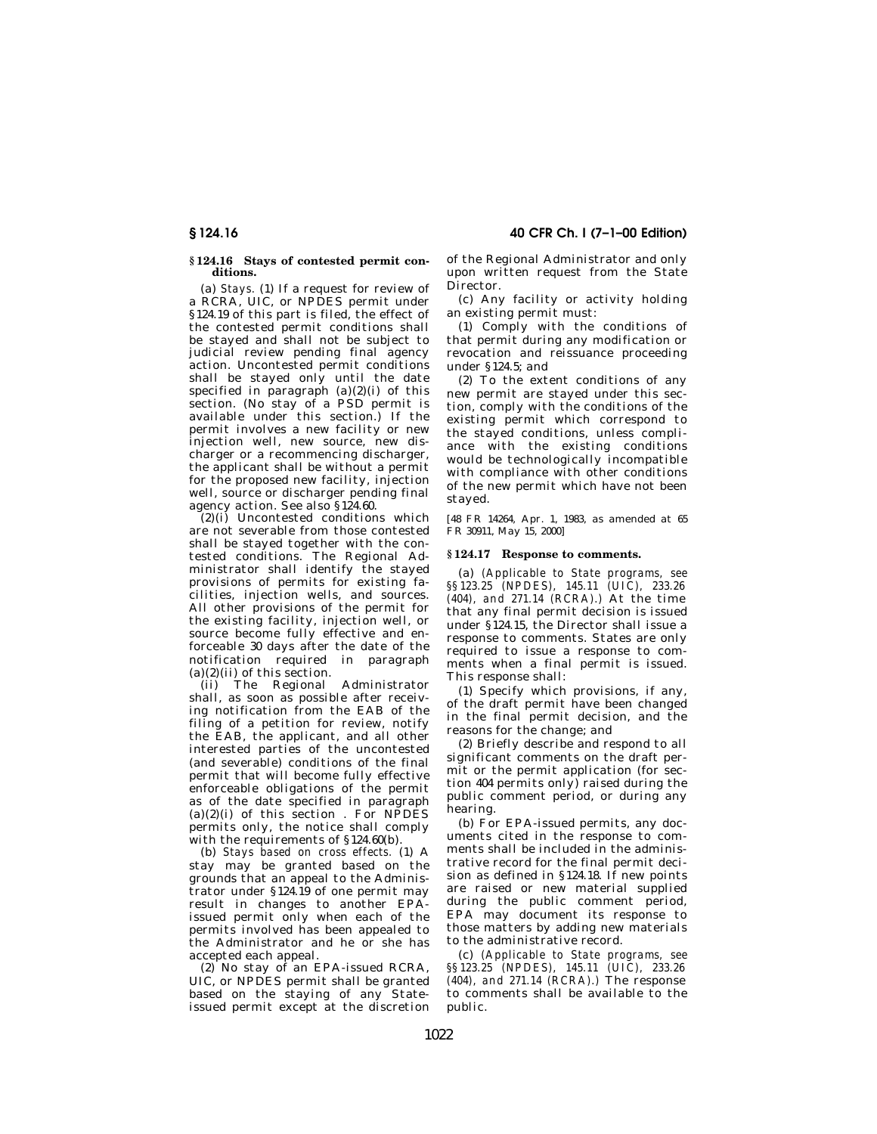#### **§ 124.16 Stays of contested permit conditions.**

(a) *Stays.* (1) If a request for review of a RCRA, UIC, or NPDES permit under §124.19 of this part is filed, the effect of the contested permit conditions shall be stayed and shall not be subject to judicial review pending final agency action. Uncontested permit conditions shall be stayed only until the date specified in paragraph  $(a)(2)(i)$  of this section. (No stay of a PSD permit is available under this section.) If the permit involves a new facility or new .<br>injection well, new source, new discharger or a recommencing discharger, the applicant shall be without a permit for the proposed new facility, injection well, source or discharger pending final agency action. See also §124.60.

 $(2)(i)$  Uncontested conditions which are not severable from those contested shall be stayed together with the contested conditions. The Regional Administrator shall identify the stayed provisions of permits for existing facilities, injection wells, and sources. All other provisions of the permit for the existing facility, injection well, or source become fully effective and enforceable 30 days after the date of the notification required in paragraph  $(a)(2)(ii)$  of this section.

(ii) The Regional Administrator shall, as soon as possible after receiving notification from the EAB of the filing of a petition for review, notify the EAB, the applicant, and all other interested parties of the uncontested (and severable) conditions of the final permit that will become fully effective enforceable obligations of the permit as of the date specified in paragraph  $(a)(2)(i)$  of this section. For NPDES permits only, the notice shall comply with the requirements of §124.60(b).

(b) *Stays based on cross effects.* (1) A stay may be granted based on the grounds that an appeal to the Administrator under §124.19 of one permit may result in changes to another EPAissued permit only when each of the permits involved has been appealed to the Administrator and he or she has accepted each appeal.

 $(2)$  No stay of an EPA-issued RCRA, UIC, or NPDES permit shall be granted based on the staying of any Stateissued permit except at the discretion

**§ 124.16 40 CFR Ch. I (7–1–00 Edition)**

of the Regional Administrator and only upon written request from the State Director.

(c) Any facility or activity holding an existing permit must:

(1) Comply with the conditions of that permit during any modification or revocation and reissuance proceeding under §124.5; and

(2) To the extent conditions of any new permit are stayed under this section, comply with the conditions of the existing permit which correspond to the stayed conditions, unless compliance with the existing conditions would be technologically incompatible with compliance with other conditions of the new permit which have not been stayed.

[48 FR 14264, Apr. 1, 1983, as amended at 65 FR 30911, May 15, 2000]

## **§ 124.17 Response to comments.**

(a) *(Applicable to State programs, see §§123.25 (NPDES), 145.11 (UIC), 233.26 (404), and 271.14 (RCRA).)* At the time that any final permit decision is issued under §124.15, the Director shall issue a response to comments. States are only required to issue a response to comments when a final permit is issued. This response shall:

(1) Specify which provisions, if any, of the draft permit have been changed in the final permit decision, and the reasons for the change; and

(2) Briefly describe and respond to all significant comments on the draft permit or the permit application (for section 404 permits only) raised during the public comment period, or during any hearing.

(b) For EPA-issued permits, any documents cited in the response to comments shall be included in the administrative record for the final permit decision as defined in §124.18. If new points are raised or new material supplied during the public comment period, EPA may document its response to those matters by adding new materials to the administrative record.

(c) *(Applicable to State programs, see §§123.25 (NPDES), 145.11 (UIC), 233.26 (404), and 271.14 (RCRA).)* The response to comments shall be available to the public.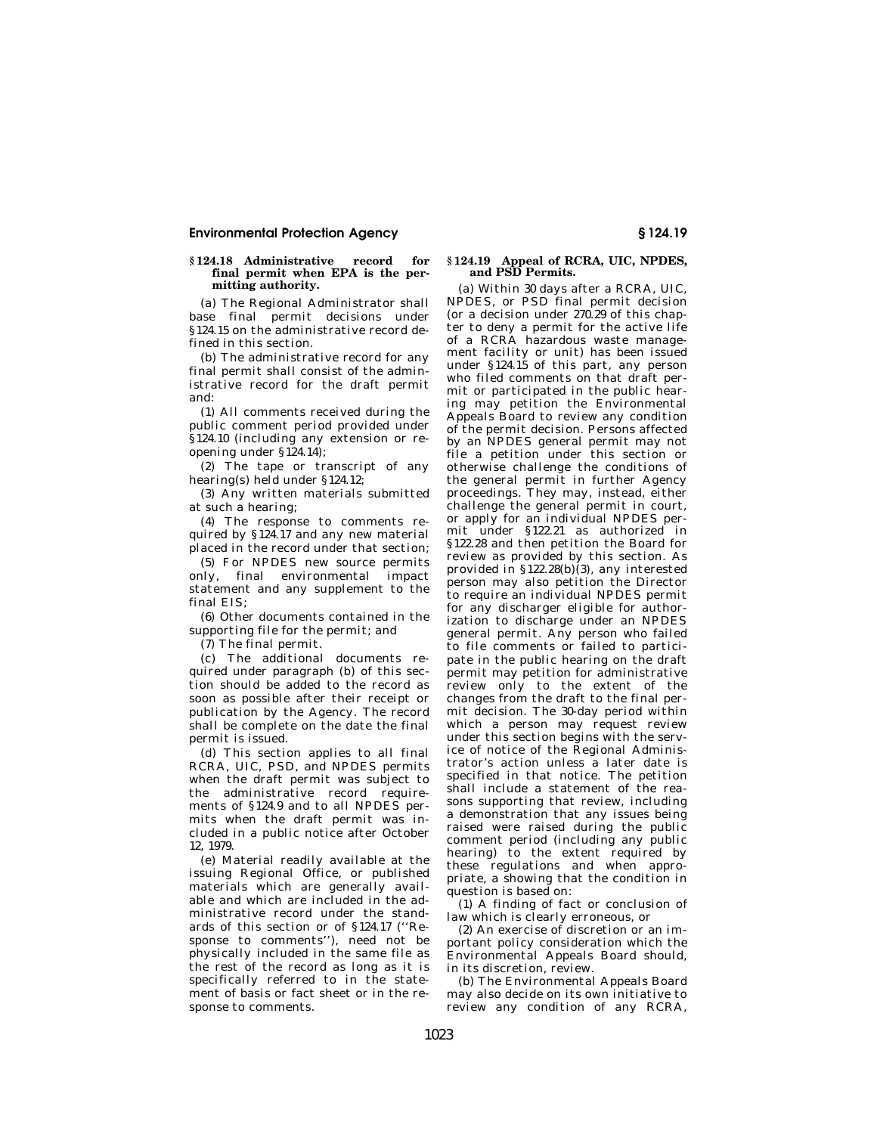## **§ 124.18 Administrative record for final permit when EPA is the permitting authority.**

(a) The Regional Administrator shall base final permit decisions under §124.15 on the administrative record defined in this section.

(b) The administrative record for any final permit shall consist of the administrative record for the draft permit and:

(1) All comments received during the public comment period provided under §124.10 (including any extension or reopening under §124.14);

(2) The tape or transcript of any hearing(s) held under §124.12;

(3) Any written materials submitted at such a hearing;

(4) The response to comments required by §124.17 and any new material placed in the record under that section;

(5) For NPDES new source permits only, final environmental impact statement and any supplement to the final EIS;

(6) Other documents contained in the supporting file for the permit; and

(7) The final permit.

(c) The additional documents required under paragraph (b) of this section should be added to the record as soon as possible after their receipt or publication by the Agency. The record shall be complete on the date the final permit is issued.

(d) This section applies to all final RCRA, UIC, PSD, and NPDES permits when the draft permit was subject to the administrative record requirements of §124.9 and to all NPDES permits when the draft permit was included in a public notice after October 12, 1979.

(e) Material readily available at the issuing Regional Office, or published materials which are generally available and which are included in the administrative record under the standards of this section or of §124.17 (''Response to comments''), need not be physically included in the same file as the rest of the record as long as it is specifically referred to in the statement of basis or fact sheet or in the response to comments.

#### **§ 124.19 Appeal of RCRA, UIC, NPDES, and PSD Permits.**

(a) Within 30 days after a RCRA, UIC, NPDES, or PSD final permit decision (or a decision under 270.29 of this chapter to deny a permit for the active life of a RCRA hazardous waste management facility or unit) has been issued under §124.15 of this part, any person who filed comments on that draft permit or participated in the public hearing may petition the Environmental Appeals Board to review any condition of the permit decision. Persons affected by an NPDES general permit may not file a petition under this section or otherwise challenge the conditions of the general permit in further Agency proceedings. They may, instead, either challenge the general permit in court, or apply for an individual NPDES permit under §122.21 as authorized in §122.28 and then petition the Board for review as provided by this section. As provided in §122.28(b)(3), any interested person may also petition the Director to require an individual NPDES permit for any discharger eligible for authorization to discharge under an NPDES general permit. Any person who failed to file comments or failed to participate in the public hearing on the draft permit may petition for administrative review only to the extent of the changes from the draft to the final permit decision. The 30-day period within which a person may request review under this section begins with the service of notice of the Regional Administrator's action unless a later date is specified in that notice. The petition shall include a statement of the reasons supporting that review, including a demonstration that any issues being raised were raised during the public comment period (including any public hearing) to the extent required by these regulations and when appropriate, a showing that the condition in question is based on:

(1) A finding of fact or conclusion of law which is clearly erroneous, or

(2) An exercise of discretion or an important policy consideration which the Environmental Appeals Board should, in its discretion, review.

(b) The Environmental Appeals Board may also decide on its own initiative to review any condition of any RCRA,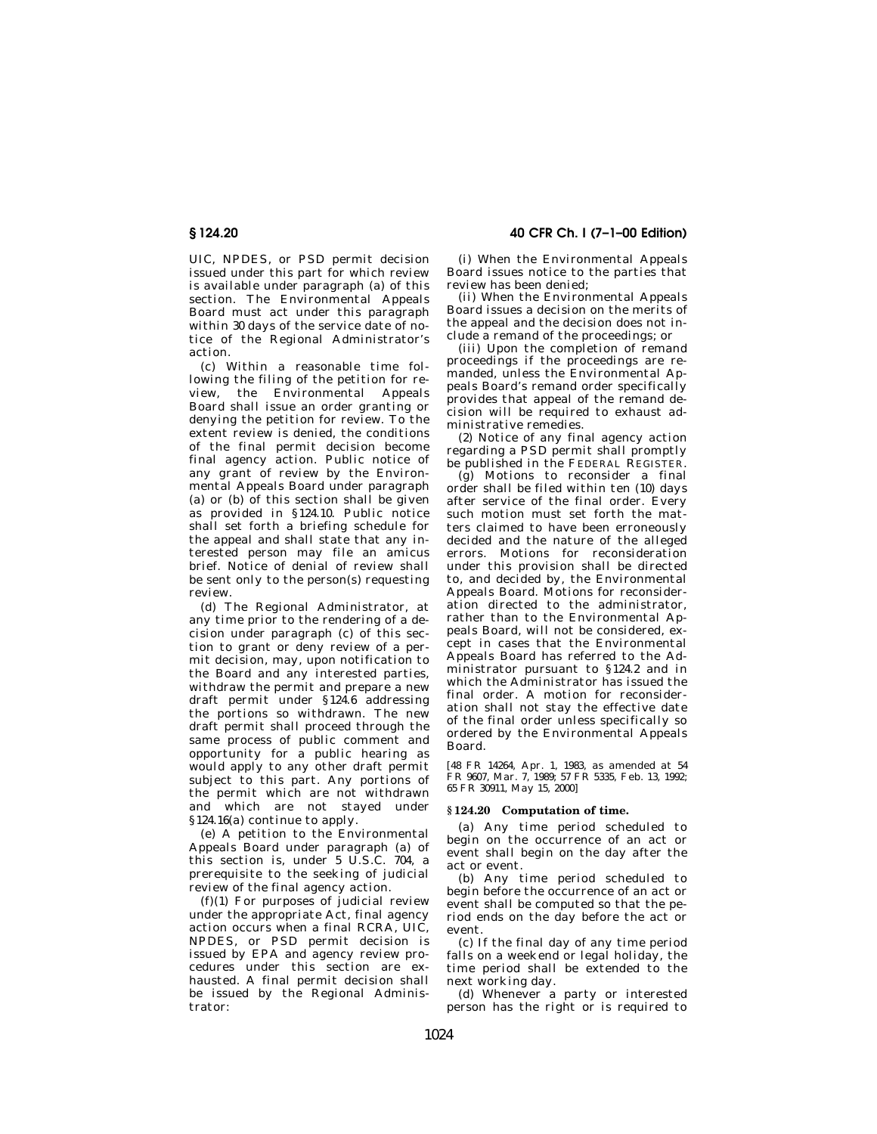UIC, NPDES, or PSD permit decision issued under this part for which review is available under paragraph (a) of this section. The Environmental Appeals Board must act under this paragraph within 30 days of the service date of notice of the Regional Administrator's action.

(c) Within a reasonable time following the filing of the petition for review, the Environmental Appeals Board shall issue an order granting or denying the petition for review. To the extent review is denied, the conditions of the final permit decision become final agency action. Public notice of any grant of review by the Environmental Appeals Board under paragraph (a) or  $(b)$  of this section shall be given as provided in §124.10. Public notice shall set forth a briefing schedule for the appeal and shall state that any interested person may file an amicus brief. Notice of denial of review shall be sent only to the person(s) requesting review.

(d) The Regional Administrator, at any time prior to the rendering of a decision under paragraph (c) of this section to grant or deny review of a permit decision, may, upon notification to the Board and any interested parties, withdraw the permit and prepare a new draft permit under §124.6 addressing the portions so withdrawn. The new draft permit shall proceed through the same process of public comment and opportunity for a public hearing as would apply to any other draft permit subject to this part. Any portions of the permit which are not withdrawn and which are not stayed under §124.16(a) continue to apply.

(e) A petition to the Environmental Appeals Board under paragraph (a) of this section is, under 5 U.S.C. 704, a prerequisite to the seeking of judicial review of the final agency action.

(f)(1) For purposes of judicial review under the appropriate Act, final agency action occurs when a final RCRA, UIC, NPDES, or PSD permit decision is issued by EPA and agency review procedures under this section are exhausted. A final permit decision shall be issued by the Regional Administrator:

**§ 124.20 40 CFR Ch. I (7–1–00 Edition)**

(i) When the Environmental Appeals Board issues notice to the parties that review has been denied;

(ii) When the Environmental Appeals Board issues a decision on the merits of the appeal and the decision does not include a remand of the proceedings; or

(iii) Upon the completion of remand proceedings if the proceedings are remanded, unless the Environmental Appeals Board's remand order specifically provides that appeal of the remand decision will be required to exhaust administrative remedies.

(2) Notice of any final agency action regarding a PSD permit shall promptly be published in the FEDERAL REGISTER.

(g) Motions to reconsider a final order shall be filed within ten (10) days after service of the final order. Every such motion must set forth the matters claimed to have been erroneously decided and the nature of the alleged errors. Motions for reconsideration under this provision shall be directed to, and decided by, the Environmental Appeals Board. Motions for reconsideration directed to the administrator, rather than to the Environmental Appeals Board, will not be considered, except in cases that the Environmental Appeals Board has referred to the Administrator pursuant to §124.2 and in which the Administrator has issued the final order. A motion for reconsideration shall not stay the effective date of the final order unless specifically so ordered by the Environmental Appeals Board.

[48 FR 14264, Apr. 1, 1983, as amended at 54 FR 9607, Mar. 7, 1989; 57 FR 5335, Feb. 13, 1992; 65 FR 30911, May 15, 2000]

## **§ 124.20 Computation of time.**

(a) Any time period scheduled to begin on the occurrence of an act or event shall begin on the day after the act or event.

(b) Any time period scheduled to begin before the occurrence of an act or event shall be computed so that the period ends on the day before the act or event.

(c) If the final day of any time period falls on a weekend or legal holiday, the time period shall be extended to the next working day.

(d) Whenever a party or interested person has the right or is required to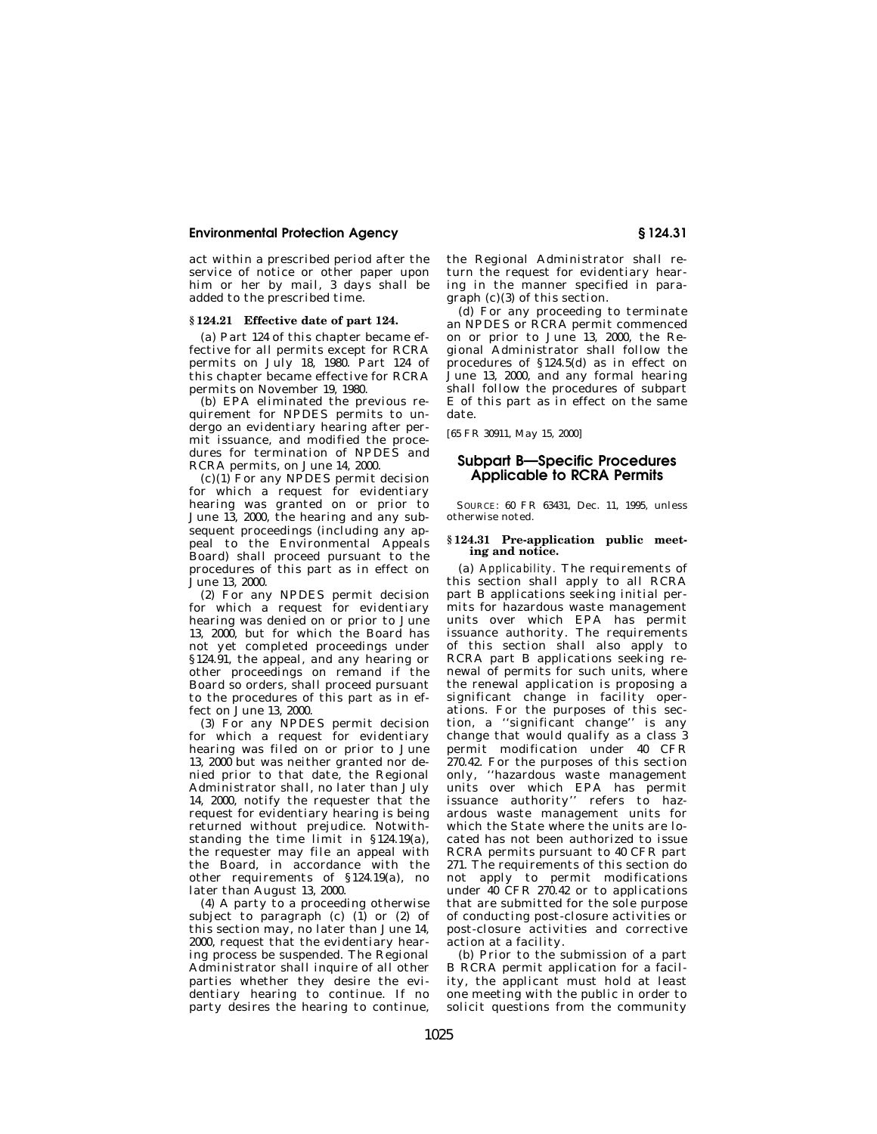act within a prescribed period after the service of notice or other paper upon him or her by mail, 3 days shall be added to the prescribed time.

## **§ 124.21 Effective date of part 124.**

(a) Part 124 of this chapter became effective for all permits except for RCRA permits on July 18, 1980. Part 124 of this chapter became effective for RCRA permits on November 19, 1980.

(b) EPA eliminated the previous requirement for NPDES permits to undergo an evidentiary hearing after permit issuance, and modified the procedures for termination of NPDES and RCRA permits, on June 14, 2000.

(c)(1) For any NPDES permit decision for which a request for evidentiary hearing was granted on or prior to June 13, 2000, the hearing and any subsequent proceedings (including any appeal to the Environmental Appeals Board) shall proceed pursuant to the procedures of this part as in effect on June 13, 2000.

(2) For any NPDES permit decision for which a request for evidentiary hearing was denied on or prior to June 13, 2000, but for which the Board has not yet completed proceedings under §124.91, the appeal, and any hearing or other proceedings on remand if the Board so orders, shall proceed pursuant to the procedures of this part as in effect on June 13, 2000.

(3) For any NPDES permit decision for which a request for evidentiary hearing was filed on or prior to June 13, 2000 but was neither granted nor denied prior to that date, the Regional Administrator shall, no later than July 14, 2000, notify the requester that the request for evidentiary hearing is being returned without prejudice. Notwithstanding the time limit in §124.19(a), the requester may file an appeal with the Board, in accordance with the other requirements of §124.19(a), no later than August 13, 2000.

(4) A party to a proceeding otherwise subject to paragraph (c)  $(1)$  or  $(2)$  of this section may, no later than June 14, 2000, request that the evidentiary hearing process be suspended. The Regional Administrator shall inquire of all other parties whether they desire the evidentiary hearing to continue. If no party desires the hearing to continue,

the Regional Administrator shall return the request for evidentiary hearing in the manner specified in paragraph (c)(3) of this section.

(d) For any proceeding to terminate an NPDES or RCRA permit commenced on or prior to June 13, 2000, the Regional Administrator shall follow the procedures of §124.5(d) as in effect on June 13, 2000, and any formal hearing shall follow the procedures of subpart E of this part as in effect on the same date.

[65 FR 30911, May 15, 2000]

# **Subpart B—Specific Procedures Applicable to RCRA Permits**

SOURCE: 60 FR 63431, Dec. 11, 1995, unless otherwise noted.

#### **§ 124.31 Pre-application public meeting and notice.**

(a) *Applicability.* The requirements of this section shall apply to all RCRA part B applications seeking initial permits for hazardous waste management units over which EPA has permit issuance authority. The requirements of this section shall also apply to RCRA part B applications seeking renewal of permits for such units, where the renewal application is proposing a significant change in facility operations. For the purposes of this section, a ''significant change'' is any change that would qualify as a class 3 permit modification under 40 CFR 270.42. For the purposes of this section only, ''hazardous waste management units over which EPA has permit issuance authority'' refers to hazardous waste management units for which the State where the units are located has not been authorized to issue RCRA permits pursuant to 40 CFR part 271. The requirements of this section do not apply to permit modifications under 40 CFR 270.42 or to applications that are submitted for the sole purpose of conducting post-closure activities or post-closure activities and corrective action at a facility.

(b) Prior to the submission of a part B RCRA permit application for a facility, the applicant must hold at least one meeting with the public in order to solicit questions from the community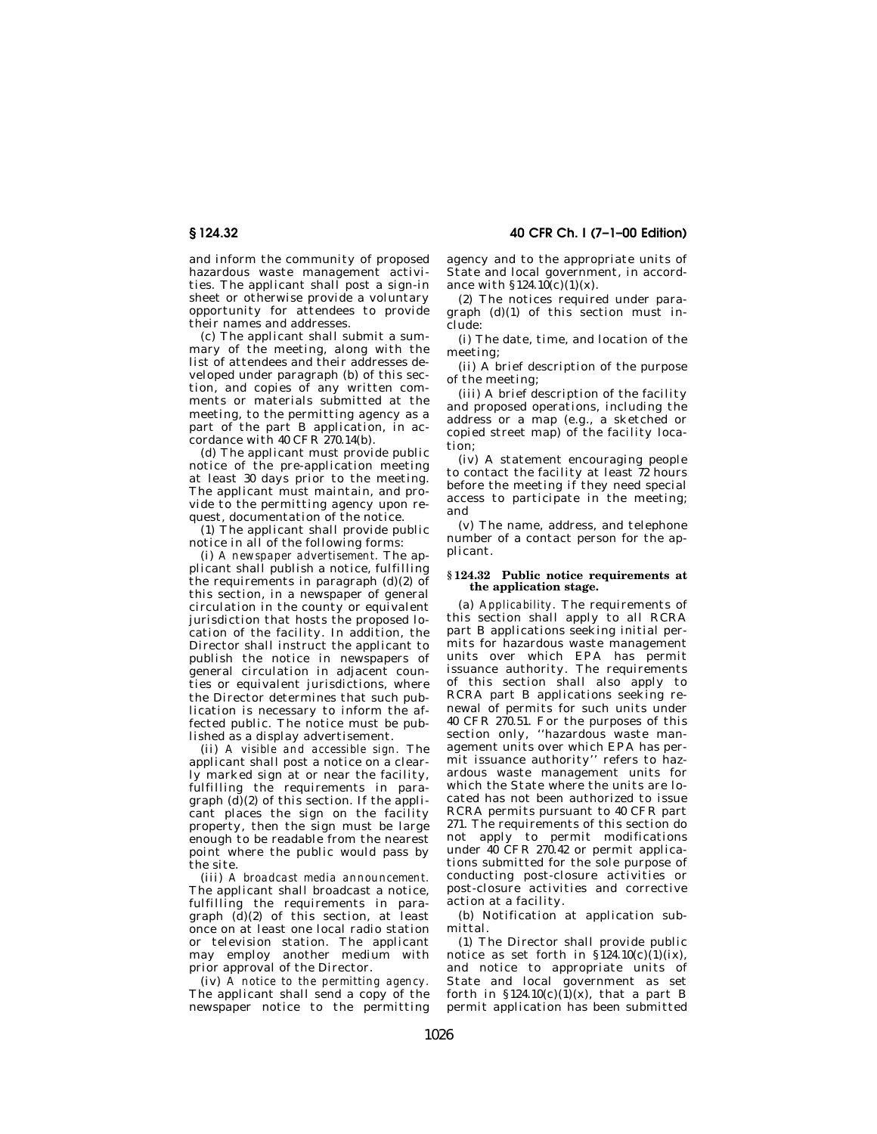and inform the community of proposed hazardous waste management activities. The applicant shall post a sign-in sheet or otherwise provide a voluntary opportunity for attendees to provide their names and addresses.

(c) The applicant shall submit a summary of the meeting, along with the list of attendees and their addresses developed under paragraph (b) of this section, and copies of any written comments or materials submitted at the meeting, to the permitting agency as a part of the part B application, in accordance with  $40 \text{ CFR}$   $270.14$ (b).

(d) The applicant must provide public notice of the pre-application meeting at least 30 days prior to the meeting. The applicant must maintain, and provide to the permitting agency upon request, documentation of the notice.

(1) The applicant shall provide public notice in all of the following forms:

(i) *A newspaper advertisement.* The applicant shall publish a notice, fulfilling the requirements in paragraph (d)(2) of this section, in a newspaper of general circulation in the county or equivalent jurisdiction that hosts the proposed location of the facility. In addition, the Director shall instruct the applicant to publish the notice in newspapers of general circulation in adjacent counties or equivalent jurisdictions, where the Director determines that such publication is necessary to inform the affected public. The notice must be published as a display advertisement.

(ii) *A visible and accessible sign.* The applicant shall post a notice on a clearly marked sign at or near the facility, fulfilling the requirements in paragraph  $(d)(2)$  of this section. If the applicant places the sign on the facility property, then the sign must be large enough to be readable from the nearest point where the public would pass by the site.

(iii) *A broadcast media announcement.* The applicant shall broadcast a notice, fulfilling the requirements in paragraph  $(d)(2)$  of this section, at least once on at least one local radio station or television station. The applicant may employ another medium with prior approval of the Director.

(iv) *A notice to the permitting agency.* The applicant shall send a copy of the newspaper notice to the permitting

**§ 124.32 40 CFR Ch. I (7–1–00 Edition)**

agency and to the appropriate units of State and local government, in accordance with  $\S 124.10(c)(1)(x)$ .

(2) The notices required under paragraph (d)(1) of this section must include:

(i) The date, time, and location of the meeting;

(ii) A brief description of the purpose of the meeting;

(iii) A brief description of the facility and proposed operations, including the address or a map (e.g., a sketched or copied street map) of the facility location;

(iv) A statement encouraging people to contact the facility at least 72 hours before the meeting if they need special access to participate in the meeting; and

(v) The name, address, and telephone number of a contact person for the applicant.

#### **§ 124.32 Public notice requirements at the application stage.**

(a) *Applicability.* The requirements of this section shall apply to all RCRA part B applications seeking initial permits for hazardous waste management units over which EPA has permit issuance authority. The requirements of this section shall also apply to RCRA part B applications seeking renewal of permits for such units under 40 CFR 270.51. For the purposes of this section only, ''hazardous waste management units over which EPA has permit issuance authority'' refers to hazardous waste management units for which the State where the units are located has not been authorized to issue RCRA permits pursuant to 40 CFR part 271. The requirements of this section do not apply to permit modifications under 40 CFR 270.42 or permit applications submitted for the sole purpose of conducting post-closure activities or post-closure activities and corrective action at a facility.

(b) Notification at application submittal.

(1) The Director shall provide public notice as set forth in  $\S 124.10(c)(1)(ix)$ , and notice to appropriate units of State and local government as set forth in  $$124.10(c)(1)(x)$ , that a part B permit application has been submitted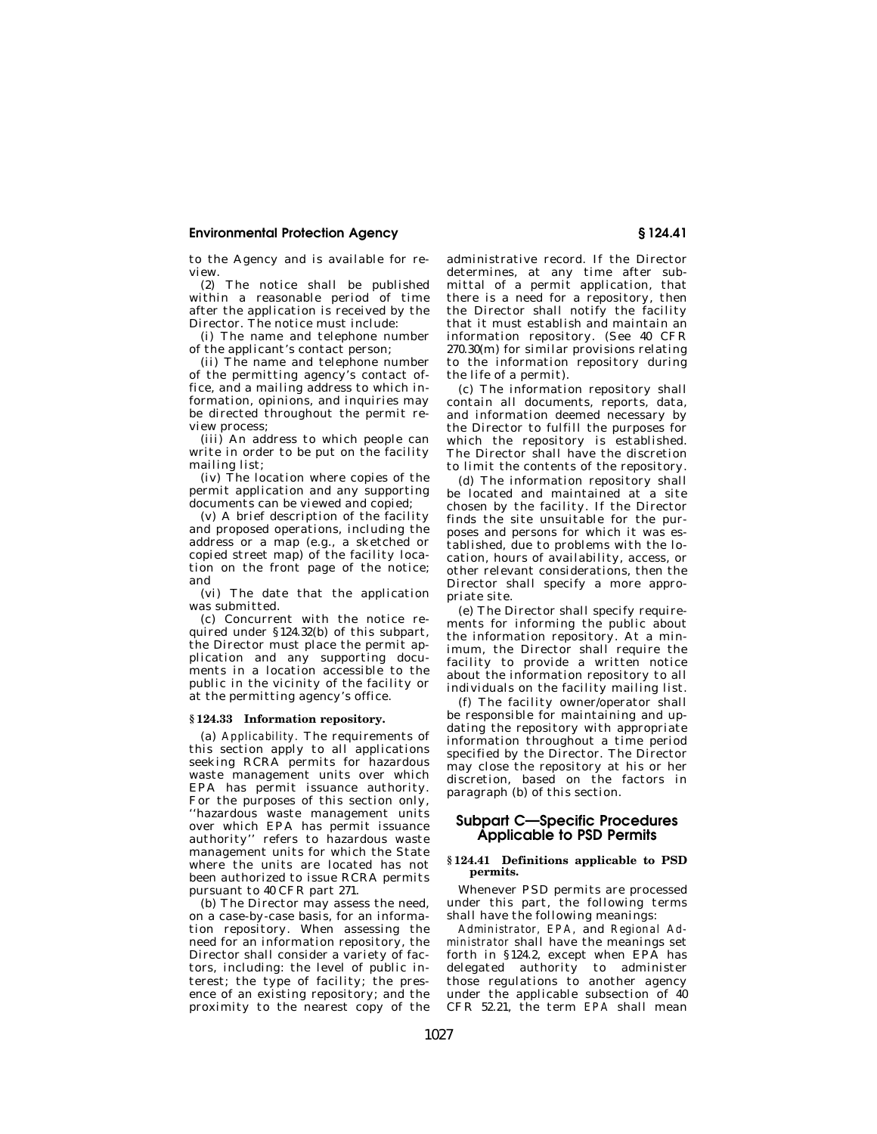to the Agency and is available for review.

(2) The notice shall be published within a reasonable period of time after the application is received by the Director. The notice must include:

(i) The name and telephone number of the applicant's contact person;

(ii) The name and telephone number of the permitting agency's contact office, and a mailing address to which information, opinions, and inquiries may be directed throughout the permit review process;

(iii) An address to which people can write in order to be put on the facility mailing list;

(iv) The location where copies of the permit application and any supporting documents can be viewed and copied;

(v) A brief description of the facility and proposed operations, including the address or a map (e.g., a sketched or copied street map) of the facility location on the front page of the notice; and

(vi) The date that the application was submitted.

(c) Concurrent with the notice required under §124.32(b) of this subpart, the Director must place the permit application and any supporting documents in a location accessible to the public in the vicinity of the facility or at the permitting agency's office.

#### **§ 124.33 Information repository.**

(a) *Applicability.* The requirements of this section apply to all applications seeking RCRA permits for hazardous waste management units over which EPA has permit issuance authority. For the purposes of this section only, ''hazardous waste management units over which EPA has permit issuance authority'' refers to hazardous waste management units for which the State where the units are located has not been authorized to issue RCRA permits pursuant to 40 CFR part 271.

(b) The Director may assess the need, on a case-by-case basis, for an information repository. When assessing the need for an information repository, the Director shall consider a variety of factors, including: the level of public interest; the type of facility; the presence of an existing repository; and the proximity to the nearest copy of the administrative record. If the Director determines, at any time after submittal of a permit application, that there is a need for a repository, then the Director shall notify the facility that it must establish and maintain an information repository. (See 40 CFR 270.30(m) for similar provisions relating to the information repository during the life of a permit).

(c) The information repository shall contain all documents, reports, data, and information deemed necessary by the Director to fulfill the purposes for which the repository is established. The Director shall have the discretion to limit the contents of the repository.

(d) The information repository shall be located and maintained at a site chosen by the facility. If the Director finds the site unsuitable for the purposes and persons for which it was established, due to problems with the location, hours of availability, access, or other relevant considerations, then the Director shall specify a more appropriate site.

(e) The Director shall specify requirements for informing the public about the information repository. At a minimum, the Director shall require the facility to provide a written notice about the information repository to all individuals on the facility mailing list.

(f) The facility owner/operator shall be responsible for maintaining and updating the repository with appropriate information throughout a time period specified by the Director. The Director may close the repository at his or her discretion, based on the factors in paragraph (b) of this section.

# **Subpart C—Specific Procedures Applicable to PSD Permits**

## **§ 124.41 Definitions applicable to PSD permits.**

Whenever PSD permits are processed under this part, the following terms shall have the following meanings:

*Administrator, EPA,* and *Regional Administrator* shall have the meanings set forth in §124.2, except when EPA has delegated authority to administer those regulations to another agency under the applicable subsection of  $40$ CFR 52.21, the term *EPA* shall mean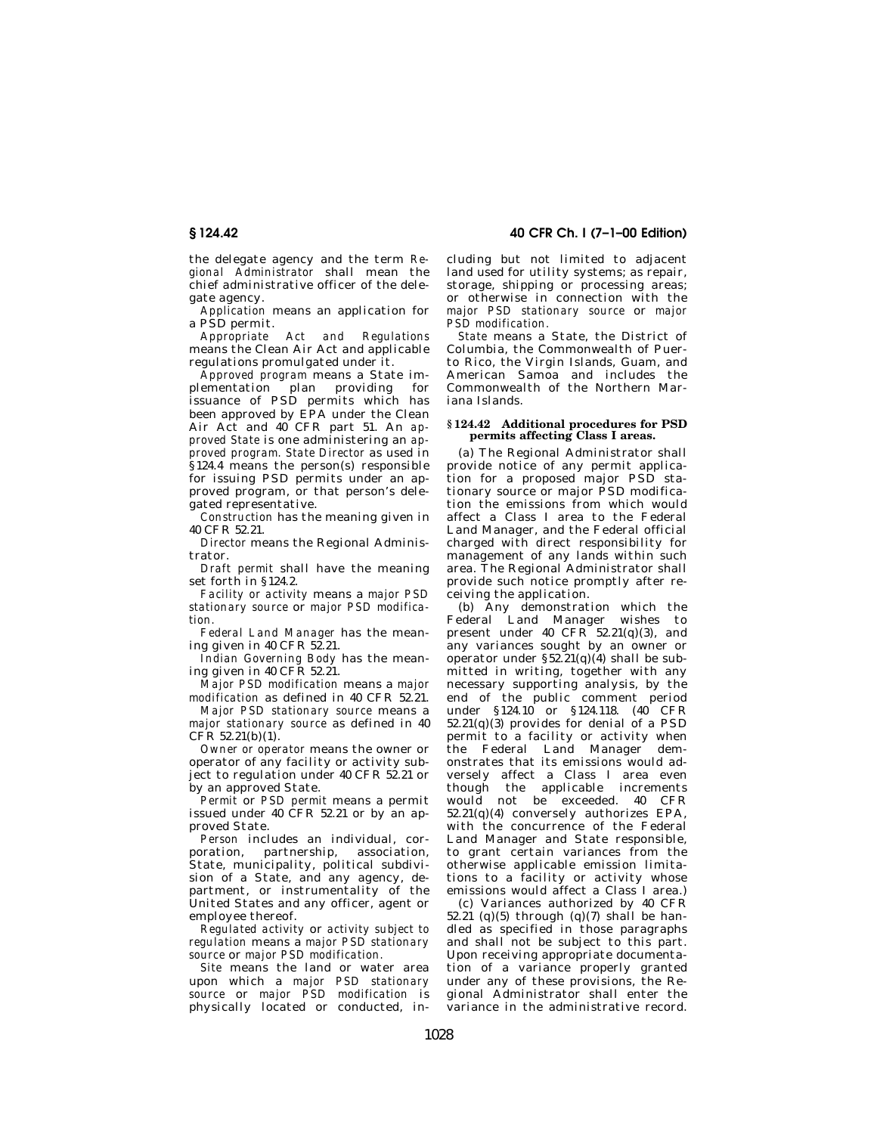the delegate agency and the term *Regional Administrator* shall mean the chief administrative officer of the delegate agency.

*Application* means an application for a PSD permit.

Act and Regulations means the Clean Air Act and applicable regulations promulgated under it.

*Approved program* means a State implementation plan providing for issuance of PSD permits which has been approved by EPA under the Clean Air Act and 40 CFR part 51. An *approved State* is one administering an *approved program. State Director* as used in §124.4 means the person(s) responsible for issuing PSD permits under an approved program, or that person's delegated representative.

*Construction* has the meaning given in 40 CFR 52.21.

*Director* means the Regional Administrator.

*Draft permit* shall have the meaning set forth in §124.2.

*Facility or activity* means a *major PSD stationary source* or *major PSD modification.*

*Federal Land Manager* has the meaning given in 40 CFR  $52.21$ .

*Indian Governing Body* has the meaning given in 40 CFR 52.21.

*Major PSD modification* means a *major modification* as defined in 40 CFR 52.21.

*Major PSD stationary source* means a *major stationary source* as defined in 40 CFR 52.21(b)(1).

*Owner or operator* means the owner or operator of any facility or activity subject to regulation under 40 CFR 52.21 or by an approved State.

*Permit* or *PSD permit* means a permit issued under 40 CFR 52.21 or by an approved State.

*Person* includes an individual, corporation, partnership, association, State, municipality, political subdivision of a State, and any agency, department, or instrumentality of the United States and any officer, agent or employee thereof.

*Regulated activity* or *activity subject to regulation* means a *major PSD stationary source* or *major PSD modification.*

*Site* means the land or water area upon which a *major PSD stationary source* or *major PSD modification* is physically located or conducted, in-

**§ 124.42 40 CFR Ch. I (7–1–00 Edition)**

cluding but not limited to adjacent land used for utility systems; as repair, storage, shipping or processing areas; or otherwise in connection with the *major PSD stationary source* or *major PSD modification.*

*State* means a State, the District of Columbia, the Commonwealth of Puerto Rico, the Virgin Islands, Guam, and American Samoa and includes the Commonwealth of the Northern Mariana Islands.

#### **§ 124.42 Additional procedures for PSD permits affecting Class I areas.**

(a) The Regional Administrator shall provide notice of any permit application for a proposed major PSD stationary source or major PSD modification the emissions from which would affect a Class I area to the Federal Land Manager, and the Federal official charged with direct responsibility for management of any lands within such area. The Regional Administrator shall provide such notice promptly after receiving the application.

(b) Any demonstration which the Federal Land Manager wishes to present under 40  $CFR^5 52.21(q)(3)$ , and any variances sought by an owner or operator under  $\S 52.21(q)(4)$  shall be submitted in writing, together with any necessary supporting analysis, by the end of the public comment period under §124.10 or §124.118. (40 CFR 52.21(q)(3) provides for denial of a PSD permit to a facility or activity when the Federal Land Manager demonstrates that its emissions would adversely affect a Class I area even though the applicable increments would not be exceeded.  $40$  CFR  $52.21(q)(4)$  conversely authorizes EPA, with the concurrence of the Federal Land Manager and State responsible, to grant certain variances from the otherwise applicable emission limitations to a facility or activity whose emissions would affect a Class I area.)

(c) Variances authorized by 40 CFR 52.21 (q)(5) through (q)(7) shall be handled as specified in those paragraphs and shall not be subject to this part. Upon receiving appropriate documentation of a variance properly granted under any of these provisions, the Regional Administrator shall enter the variance in the administrative record.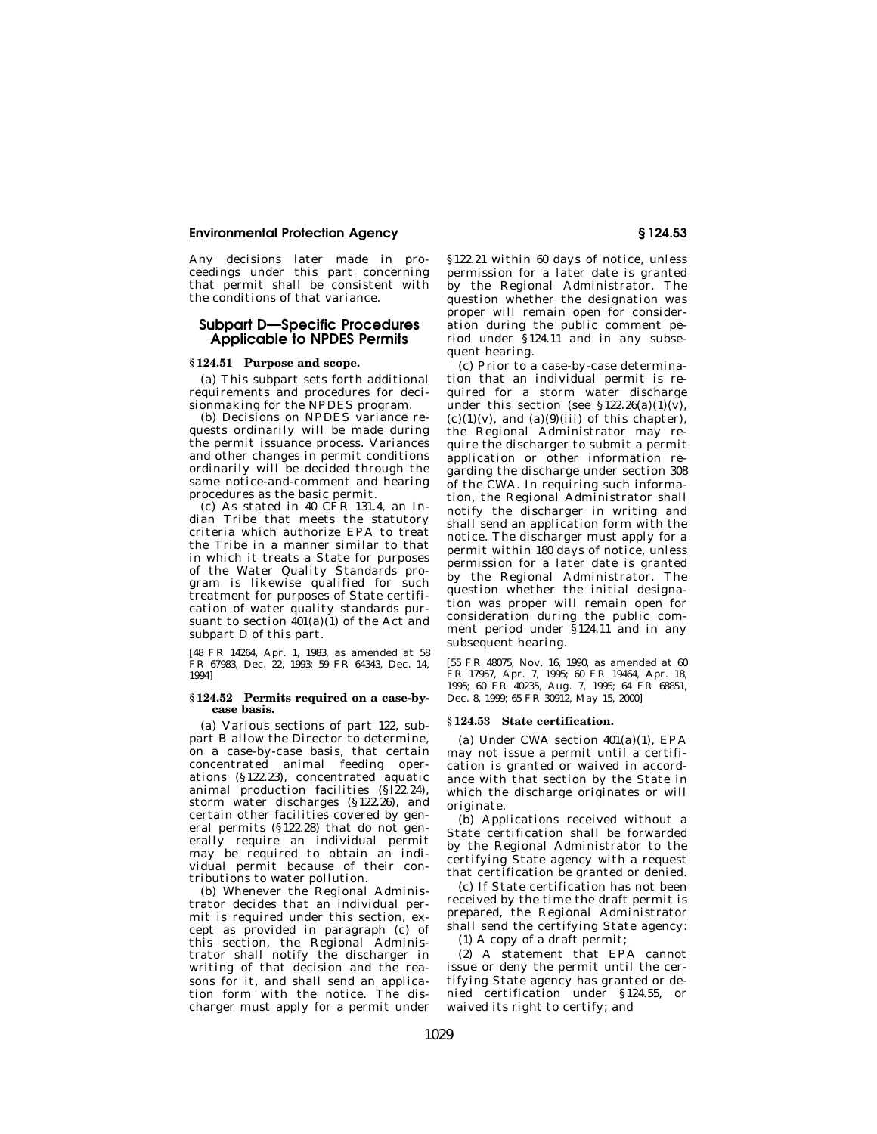Any decisions later made in proceedings under this part concerning that permit shall be consistent with the conditions of that variance.

# **Subpart D—Specific Procedures Applicable to NPDES Permits**

## **§ 124.51 Purpose and scope.**

(a) This subpart sets forth additional requirements and procedures for decisionmaking for the NPDES program.

(b) Decisions on NPDES variance requests ordinarily will be made during the permit issuance process. Variances and other changes in permit conditions ordinarily will be decided through the same notice-and-comment and hearing procedures as the basic permit.

(c) As stated in 40 CFR 131.4, an Indian Tribe that meets the statutory criteria which authorize EPA to treat the Tribe in a manner similar to that in which it treats a State for purposes of the Water Quality Standards program is likewise qualified for such treatment for purposes of State certification of water quality standards pursuant to section  $401(a)(1)$  of the Act and subpart D of this part.

[48 FR 14264, Apr. 1, 1983, as amended at 58 FR 67983, Dec. 22, 1993; 59 FR 64343, Dec. 14, 1994]

#### **§ 124.52 Permits required on a case-bycase basis.**

(a) Various sections of part 122, subpart B allow the Director to determine, on a case-by-case basis, that certain concentrated animal feeding operations (§122.23), concentrated aquatic animal production facilities (§l22.24), storm water discharges (§122.26), and certain other facilities covered by general permits (§122.28) that do not generally require an individual permit may be required to obtain an individual permit because of their contributions to water pollution.

(b) Whenever the Regional Administrator decides that an individual permit is required under this section, except as provided in paragraph (c) of this section, the Regional Administrator shall notify the discharger in writing of that decision and the reasons for it, and shall send an application form with the notice. The discharger must apply for a permit under §122.21 within 60 days of notice, unless permission for a later date is granted by the Regional Administrator. The question whether the designation was proper will remain open for consideration during the public comment period under §124.11 and in any subsequent hearing.

(c) Prior to a case-by-case determination that an individual permit is required for a storm water discharge under this section (see  $$122.26(a)(1)(v)$ ).  $(c)(1)(v)$ , and  $(a)(9)(iii)$  of this chapter), the Regional Administrator may require the discharger to submit a permit application or other information regarding the discharge under section 308 of the CWA. In requiring such information, the Regional Administrator shall notify the discharger in writing and shall send an application form with the notice. The discharger must apply for a permit within 180 days of notice, unless permission for a later date is granted by the Regional Administrator. The question whether the initial designation was proper will remain open for consideration during the public comment period under §124.11 and in any subsequent hearing.

[55 FR 48075, Nov. 16, 1990, as amended at 60 FR 17957, Apr. 7, 1995; 60 FR 19464, Apr. 18, 1995; 60 FR 40235, Aug. 7, 1995; 64 FR 68851, Dec. 8, 1999; 65 FR 30912, May 15, 2000]

### **§ 124.53 State certification.**

(a) Under CWA section 401(a)(1), EPA may not issue a permit until a certification is granted or waived in accordance with that section by the State in which the discharge originates or will originate.

(b) Applications received without a State certification shall be forwarded by the Regional Administrator to the certifying State agency with a request that certification be granted or denied.

(c) If State certification has not been received by the time the draft permit is prepared, the Regional Administrator shall send the certifying State agency:

(1) A copy of a draft permit;

(2) A statement that EPA cannot issue or deny the permit until the certifying State agency has granted or denied certification under §124.55, or waived its right to certify; and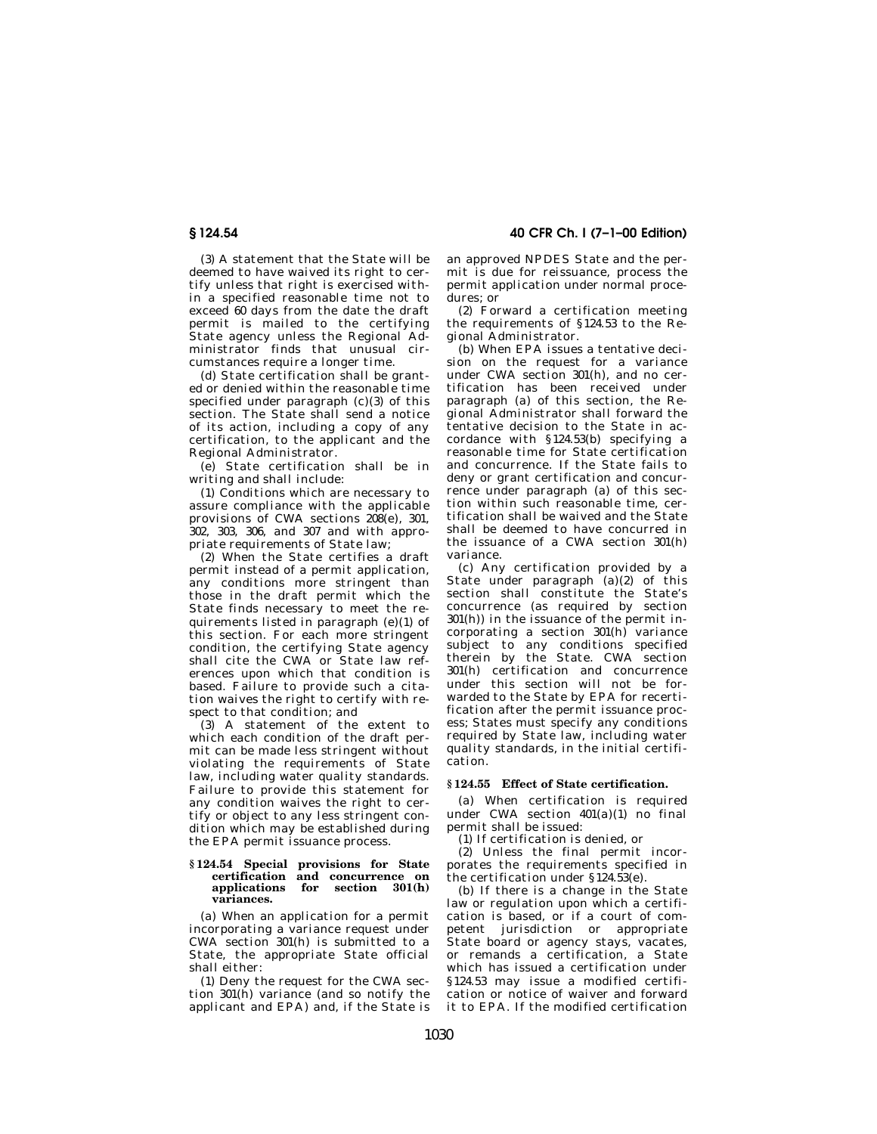(3) A statement that the State will be deemed to have waived its right to certify unless that right is exercised within a specified reasonable time not to exceed 60 days from the date the draft permit is mailed to the certifying State agency unless the Regional Administrator finds that unusual circumstances require a longer time.

(d) State certification shall be granted or denied within the reasonable time specified under paragraph (c)(3) of this section. The State shall send a notice of its action, including a copy of any certification, to the applicant and the Regional Administrator.

(e) State certification shall be in writing and shall include:

(1) Conditions which are necessary to assure compliance with the applicable provisions of CWA sections  $208(e)$ , 301, 302, 303, 306, and 307 and with appropriate requirements of State law;

(2) When the State certifies a draft permit instead of a permit application, any conditions more stringent than those in the draft permit which the State finds necessary to meet the requirements listed in paragraph (e)(1) of this section. For each more stringent condition, the certifying State agency shall cite the CWA or State law references upon which that condition is based. Failure to provide such a citation waives the right to certify with respect to that condition; and

(3) A statement of the extent to which each condition of the draft permit can be made less stringent without violating the requirements of State law, including water quality standards. Failure to provide this statement for any condition waives the right to certify or object to any less stringent condition which may be established during the EPA permit issuance process.

#### **§ 124.54 Special provisions for State certification and concurrence on applications for section 301(h) variances.**

(a) When an application for a permit incorporating a variance request under CWA section 301(h) is submitted to a State, the appropriate State official shall either:

(1) Deny the request for the CWA section 301(h) variance (and so notify the applicant and EPA) and, if the State is

**§ 124.54 40 CFR Ch. I (7–1–00 Edition)**

an approved NPDES State and the permit is due for reissuance, process the permit application under normal procedures; or

(2) Forward a certification meeting the requirements of §124.53 to the Regional Administrator.

(b) When EPA issues a tentative decision on the request for a variance under CWA section 301(h), and no certification has been received under paragraph (a) of this section, the Regional Administrator shall forward the tentative decision to the State in accordance with §124.53(b) specifying a reasonable time for State certification and concurrence. If the State fails to deny or grant certification and concurrence under paragraph (a) of this section within such reasonable time, certification shall be waived and the State shall be deemed to have concurred in the issuance of a CWA section 301(h) variance.

(c) Any certification provided by a State under paragraph (a)(2) of this section shall constitute the State's concurrence (as required by section 301(h)) in the issuance of the permit incorporating a section 301(h) variance subject to any conditions specified therein by the State. CWA section 301(h) certification and concurrence under this section will not be forwarded to the State by EPA for recertification after the permit issuance process; States must specify any conditions required by State law, including water quality standards, in the initial certification.

## **§ 124.55 Effect of State certification.**

(a) When certification is required under CWA section 401(a)(1) no final permit shall be issued:

(1) If certification is denied, or

(2) Unless the final permit incorporates the requirements specified in the certification under §124.53(e).

(b) If there is a change in the State law or regulation upon which a certification is based, or if a court of competent jurisdiction or appropriate State board or agency stays, vacates, or remands a certification, a State which has issued a certification under §124.53 may issue a modified certification or notice of waiver and forward it to EPA. If the modified certification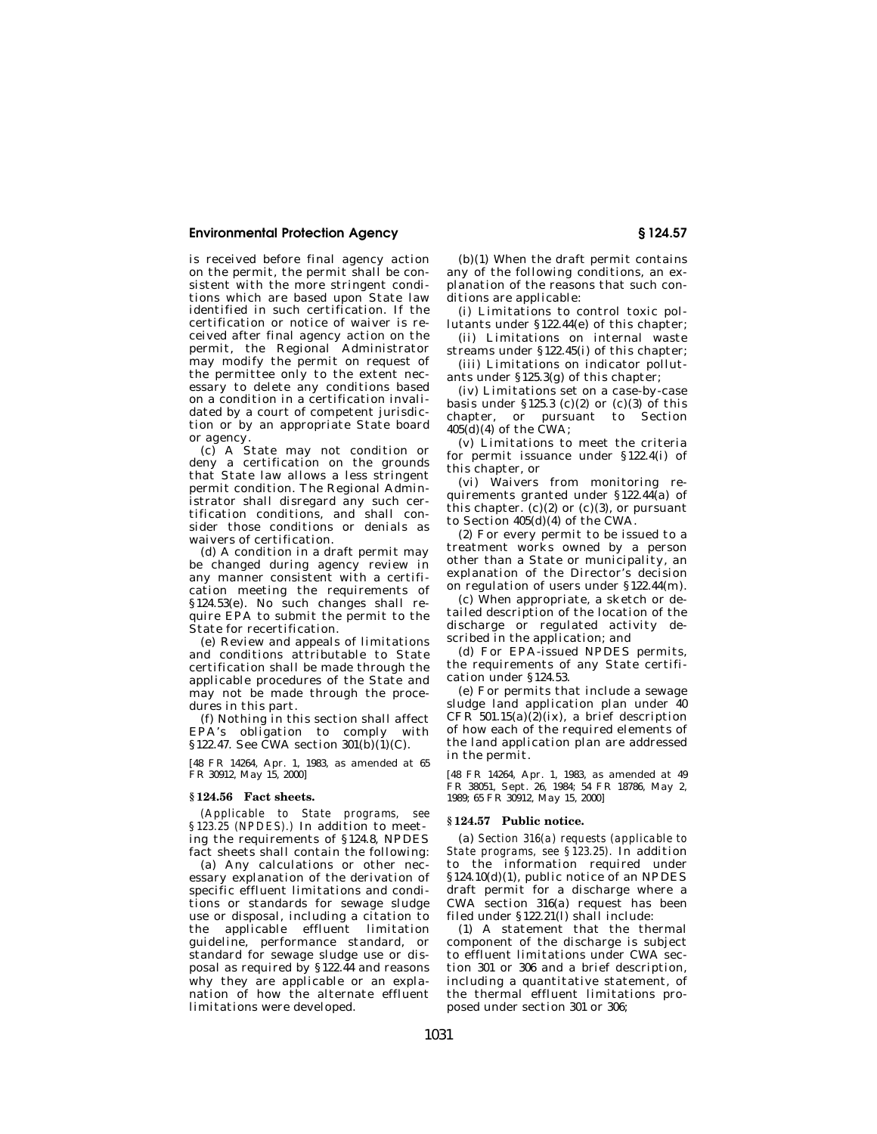is received before final agency action on the permit, the permit shall be consistent with the more stringent conditions which are based upon State law identified in such certification. If the certification or notice of waiver is received after final agency action on the permit, the Regional Administrator may modify the permit on request of the permittee only to the extent necessary to delete any conditions based on a condition in a certification invalidated by a court of competent jurisdiction or by an appropriate State board or agency.

(c) A State may not condition or deny a certification on the grounds that State law allows a less stringent permit condition. The Regional Administrator shall disregard any such certification conditions, and shall consider those conditions or denials as waivers of certification.

(d) A condition in a draft permit may be changed during agency review in any manner consistent with a certification meeting the requirements of §124.53(e). No such changes shall require EPA to submit the permit to the State for recertification.

(e) Review and appeals of limitations and conditions attributable to State certification shall be made through the applicable procedures of the State and may not be made through the procedures in this part.

(f) Nothing in this section shall affect EPA's obligation to comply with §122.47. See CWA section 301(b)(1)(C).

[48 FR 14264, Apr. 1, 1983, as amended at 65 FR 30912, May 15, 2000]

#### **§ 124.56 Fact sheets.**

*(Applicable to State programs, see §123.25 (NPDES).)* In addition to meeting the requirements of §124.8, NPDES fact sheets shall contain the following:

(a) Any calculations or other necessary explanation of the derivation of specific effluent limitations and conditions or standards for sewage sludge use or disposal, including a citation to the applicable effluent limitation guideline, performance standard, or standard for sewage sludge use or disposal as required by §122.44 and reasons why they are applicable or an explanation of how the alternate effluent limitations were developed.

(b)(1) When the draft permit contains any of the following conditions, an explanation of the reasons that such con-.<br>ditions are applicable:

(i) Limitations to control toxic pollutants under §122.44(e) of this chapter;

(ii) Limitations on internal waste streams under §122.45(i) of this chapter;

(iii) Limitations on indicator pollutants under §125.3(g) of this chapter;

(iv) Limitations set on a case-by-case basis under  $$125.3$  (c)(2) or (c)(3) of this chapter, or pursuant to Section 405(d)(4) of the CWA;

(v) Limitations to meet the criteria for permit issuance under §122.4(i) of this chapter, or

(vi) Waivers from monitoring requirements granted under §122.44(a) of this chapter.  $(c)(2)$  or  $(c)(3)$ , or pursuant to Section 405(d)(4) of the CWA.

(2) For every permit to be issued to a treatment works owned by a person other than a State or municipality, an explanation of the Director's decision on regulation of users under §122.44(m).

(c) When appropriate, a sketch or detailed description of the location of the discharge or regulated activity described in the application; and

(d) For EPA-issued NPDES permits, the requirements of any State certification under §124.53.

(e) For permits that include a sewage sludge land application plan under 40 CFR  $501.15(a)(2)(ix)$ , a brief description of how each of the required elements of the land application plan are addressed in the permit.

[48 FR 14264, Apr. 1, 1983, as amended at 49 FR 38051, Sept. 26, 1984; 54 FR 18786, May 2, 1989; 65 FR 30912, May 15, 2000]

#### **§ 124.57 Public notice.**

(a) *Section 316(a) requests (applicable to State programs, see §123.25).* In addition to the information required under §124.10(d)(1), public notice of an NPDES draft permit for a discharge where a CWA section 316(a) request has been filed under §122.21(l) shall include:

(1) A statement that the thermal component of the discharge is subject to effluent limitations under CWA section 301 or 306 and a brief description, including a quantitative statement, of the thermal effluent limitations proposed under section 301 or 306;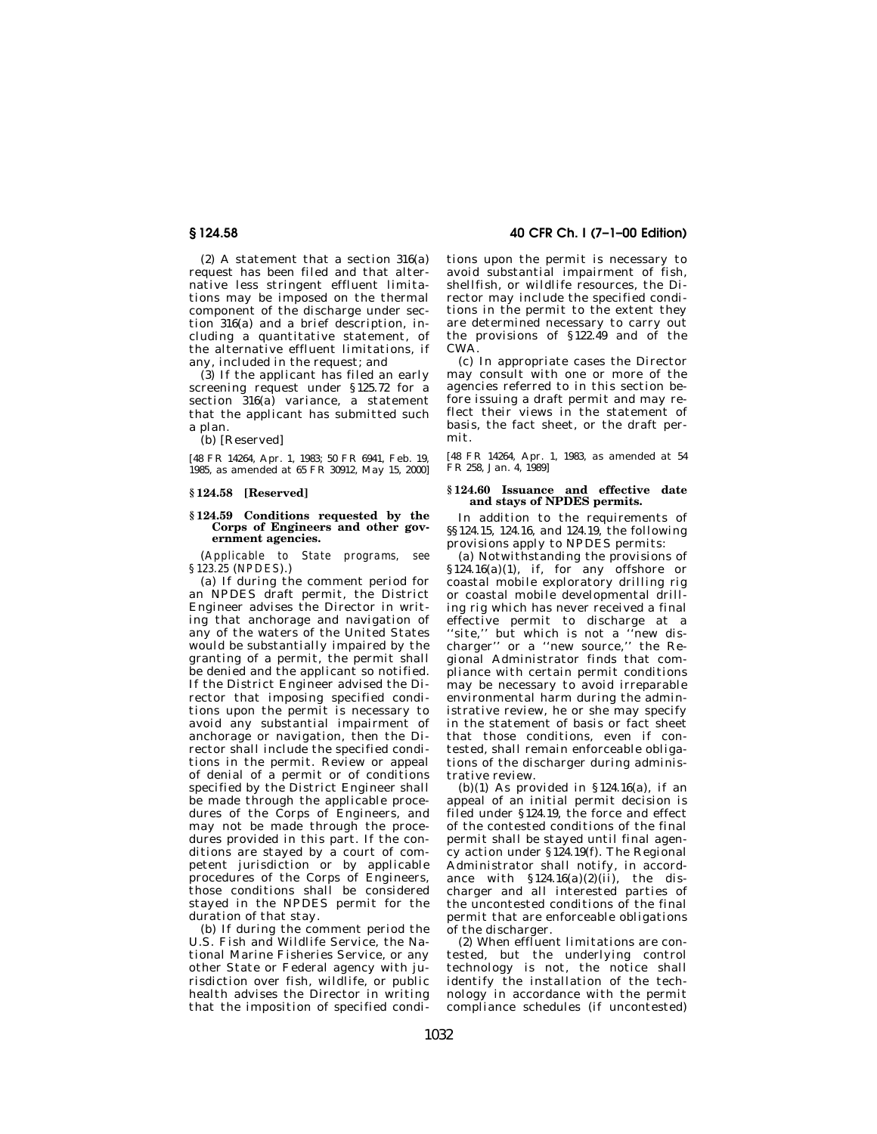(2) A statement that a section 316(a) request has been filed and that alternative less stringent effluent limitations may be imposed on the thermal component of the discharge under section 316(a) and a brief description, including a quantitative statement, of the alternative effluent limitations, if any, included in the request; and

(3) If the applicant has filed an early screening request under §125.72 for a section  $316(a)$  variance, a statement that the applicant has submitted such a plan.

(b) [Reserved]

[48 FR 14264, Apr. 1, 1983; 50 FR 6941, Feb. 19, 1985, as amended at 65 FR 30912, May 15, 2000]

## **§ 124.58 [Reserved]**

#### **§ 124.59 Conditions requested by the Corps of Engineers and other government agencies.**

(*Applicable to State programs, see §123.25* (*NPDES*).)

(a) If during the comment period for an NPDES draft permit, the District Engineer advises the Director in writing that anchorage and navigation of any of the waters of the United States would be substantially impaired by the granting of a permit, the permit shall be denied and the applicant so notified. If the District Engineer advised the Director that imposing specified conditions upon the permit is necessary to avoid any substantial impairment of anchorage or navigation, then the Director shall include the specified conditions in the permit. Review or appeal of denial of a permit or of conditions specified by the District Engineer shall be made through the applicable procedures of the Corps of Engineers, and may not be made through the procedures provided in this part. If the conditions are stayed by a court of competent jurisdiction or by applicable procedures of the Corps of Engineers, those conditions shall be considered stayed in the NPDES permit for the duration of that stay.

(b) If during the comment period the U.S. Fish and Wildlife Service, the National Marine Fisheries Service, or any other State or Federal agency with jurisdiction over fish, wildlife, or public health advises the Director in writing that the imposition of specified condi-

# **§ 124.58 40 CFR Ch. I (7–1–00 Edition)**

tions upon the permit is necessary to avoid substantial impairment of fish, shellfish, or wildlife resources, the Director may include the specified conditions in the permit to the extent they are determined necessary to carry out the provisions of §122.49 and of the CWA.

(c) In appropriate cases the Director may consult with one or more of the agencies referred to in this section before issuing a draft permit and may reflect their views in the statement of basis, the fact sheet, or the draft permit.

[48 FR 14264, Apr. 1, 1983, as amended at 54 FR 258, Jan. 4, 1989]

## **§ 124.60 Issuance and effective date and stays of NPDES permits.**

In addition to the requirements of §§124.15, 124.16, and 124.19, the following provisions apply to NPDES permits:

(a) Notwithstanding the provisions of §124.16(a)(1), if, for any offshore or coastal mobile exploratory drilling rig or coastal mobile developmental drilling rig which has never received a final effective permit to discharge at a 'site," but which is not a "new discharger'' or a ''new source,'' the Regional Administrator finds that compliance with certain permit conditions may be necessary to avoid irreparable environmental harm during the administrative review, he or she may specify in the statement of basis or fact sheet that those conditions, even if contested, shall remain enforceable obligations of the discharger during administrative review.

(b)(1) As provided in §124.16(a), if an appeal of an initial permit decision is filed under §124.19, the force and effect of the contested conditions of the final permit shall be stayed until final agency action under §124.19(f). The Regional Administrator shall notify, in accordance with  $$124.16(a)(2)(ii)$ , the discharger and all interested parties of the uncontested conditions of the final permit that are enforceable obligations of the discharger.

(2) When effluent limitations are contested, but the underlying control technology is not, the notice shall identify the installation of the technology in accordance with the permit compliance schedules (if uncontested)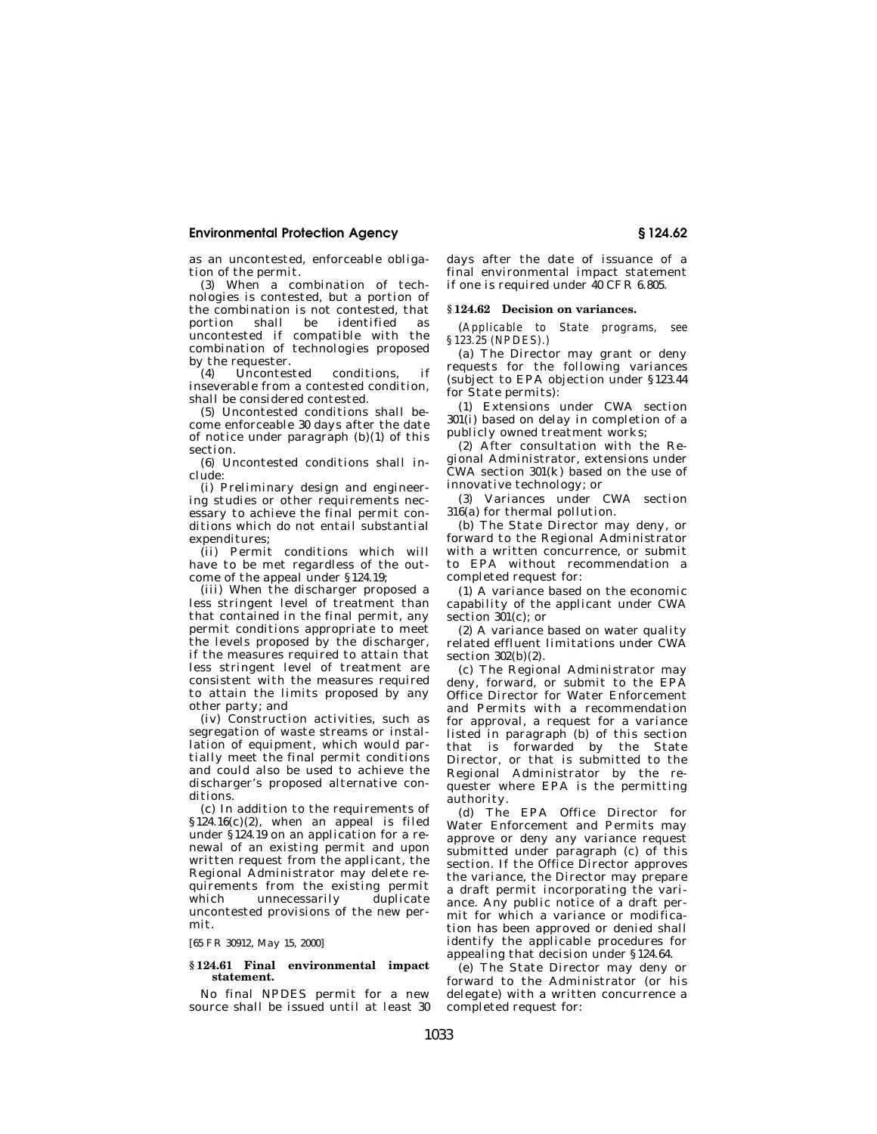as an uncontested, enforceable obligation of the permit.

(3) When a combination of technologies is contested, but a portion of the combination is not contested, that portion shall be identified as uncontested if compatible with the combination of technologies proposed by the requester.

(4) Uncontested conditions, if inseverable from a contested condition, shall be considered contested.

(5) Uncontested conditions shall become enforceable 30 days after the date of notice under paragraph (b)(1) of this section.

(6) Uncontested conditions shall include:

(i) Preliminary design and engineering studies or other requirements necessary to achieve the final permit conditions which do not entail substantial expenditures;

(ii) Permit conditions which will have to be met regardless of the outcome of the appeal under §124.19;

(iii) When the discharger proposed a less stringent level of treatment than that contained in the final permit, any permit conditions appropriate to meet the levels proposed by the discharger, if the measures required to attain that less stringent level of treatment are consistent with the measures required to attain the limits proposed by any other party; and

(iv) Construction activities, such as segregation of waste streams or installation of equipment, which would partially meet the final permit conditions and could also be used to achieve the discharger's proposed alternative conditions.

(c) In addition to the requirements of §124.16(c)(2), when an appeal is filed under §124.19 on an application for a renewal of an existing permit and upon written request from the applicant, the Regional Administrator may delete requirements from the existing permit which unnecessarily duplicate uncontested provisions of the new permit.

[65 FR 30912, May 15, 2000]

## **§ 124.61 Final environmental impact statement.**

No final NPDES permit for a new source shall be issued until at least 30

days after the date of issuance of a final environmental impact statement if one is required under 40 CFR 6.805.

#### **§ 124.62 Decision on variances.**

(*Applicable to State programs, see §123.25 (NPDES).)*

(a) The Director may grant or deny requests for the following variances (subject to EPA objection under §123.44 for State permits):

(1) Extensions under CWA section 301(i) based on delay in completion of a publicly owned treatment works;

(2) After consultation with the Regional Administrator, extensions under CWA section 301(k) based on the use of innovative technology; or

(3) Variances under CWA section  $316(a)$  for thermal pollution.

(b) The State Director may deny, or forward to the Regional Administrator with a written concurrence, or submit to EPA without recommendation a completed request for:

(1) A variance based on the economic capability of the applicant under CWA section 301(c); or

(2) A variance based on water quality related effluent limitations under CWA section  $302(b)(2)$ .

(c) The Regional Administrator may deny, forward, or submit to the EPA Office Director for Water Enforcement and Permits with a recommendation for approval, a request for a variance listed in paragraph (b) of this section that is forwarded by the State Director, or that is submitted to the Regional Administrator by the requester where EPA is the permitting authority.

(d) The EPA Office Director for Water Enforcement and Permits may approve or deny any variance request submitted under paragraph (c) of this section. If the Office Director approves the variance, the Director may prepare a draft permit incorporating the variance. Any public notice of a draft permit for which a variance or modification has been approved or denied shall identify the applicable procedures for appealing that decision under §124.64.

(e) The State Director may deny or forward to the Administrator (or his delegate) with a written concurrence a completed request for: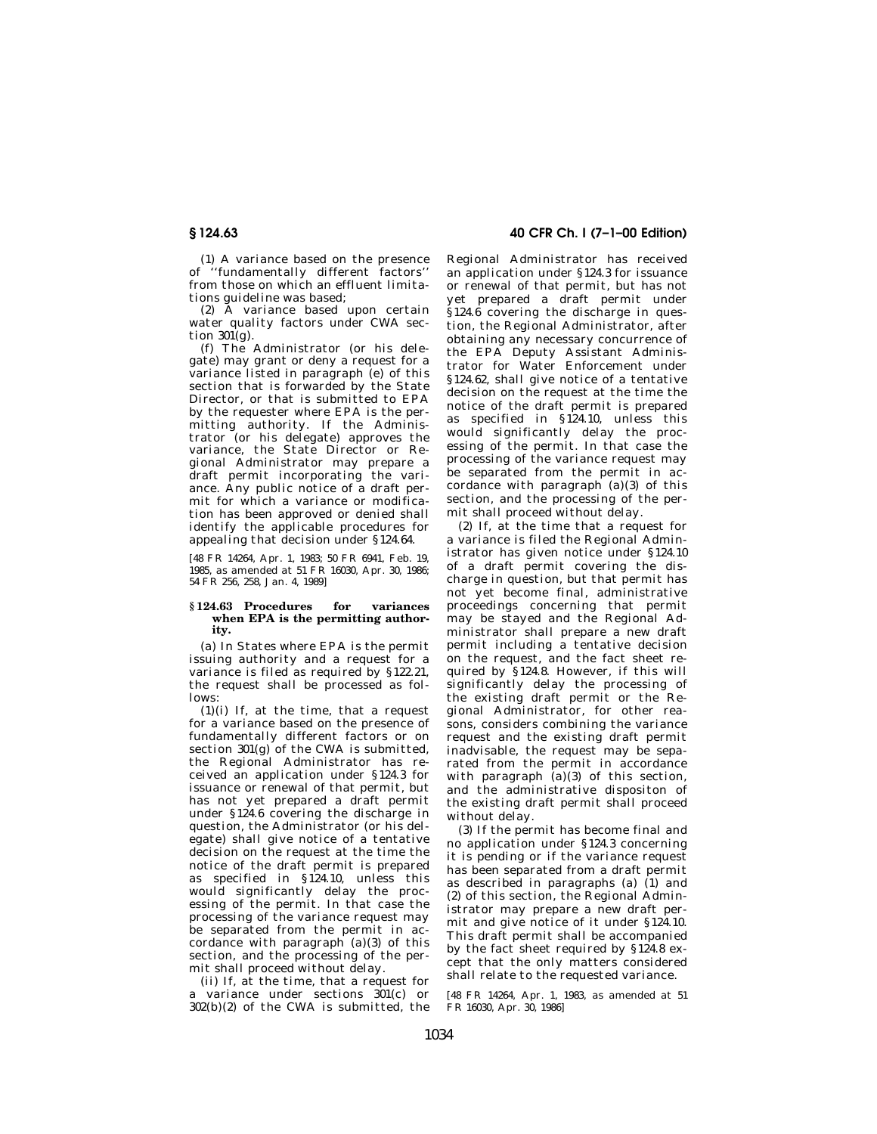(1) A variance based on the presence of ''fundamentally different factors'' from those on which an effluent limitations guideline was based;

(2) A variance based upon certain water quality factors under CWA section  $301(g)$ .

(f) The Administrator (or his delegate) may grant or deny a request for a variance listed in paragraph (e) of this section that is forwarded by the State Director, or that is submitted to EPA by the requester where EPA is the permitting authority. If the Administrator (or his delegate) approves the variance, the State Director or Regional Administrator may prepare a draft permit incorporating the variance. Any public notice of a draft permit for which a variance or modification has been approved or denied shall identify the applicable procedures for appealing that decision under §124.64.

[48 FR 14264, Apr. 1, 1983; 50 FR 6941, Feb. 19, 1985, as amended at 51 FR 16030, Apr. 30, 1986; 54 FR 256, 258, Jan. 4, 1989]

#### **§ 124.63 Procedures for variances when EPA is the permitting authority.**

(a) In States where EPA is the permit issuing authority and a request for a variance is filed as required by §122.21, the request shall be processed as follows:

 $(1)(i)$  If, at the time, that a request for a variance based on the presence of fundamentally different factors or on section 301(g) of the CWA is submitted, the Regional Administrator has received an application under §124.3 for issuance or renewal of that permit, but has not yet prepared a draft permit under §124.6 covering the discharge in question, the Administrator (or his delegate) shall give notice of a tentative decision on the request at the time the notice of the draft permit is prepared as specified in §124.10, unless this would significantly delay the processing of the permit. In that case the processing of the variance request may be separated from the permit in accordance with paragraph  $(a)(3)$  of this section, and the processing of the permit shall proceed without delay.

(ii) If, at the time, that a request for a variance under sections 301(c) or 302(b)(2) of the CWA is submitted, the

# **§ 124.63 40 CFR Ch. I (7–1–00 Edition)**

Regional Administrator has received an application under §124.3 for issuance or renewal of that permit, but has not yet prepared a draft permit under §124.6 covering the discharge in question, the Regional Administrator, after obtaining any necessary concurrence of the EPA Deputy Assistant Administrator for Water Enforcement under §124.62, shall give notice of a tentative decision on the request at the time the notice of the draft permit is prepared as specified in §124.10, unless this would significantly delay the processing of the permit. In that case the processing of the variance request may be separated from the permit in accordance with paragraph (a)(3) of this section, and the processing of the permit shall proceed without delay.

(2) If, at the time that a request for a variance is filed the Regional Administrator has given notice under §124.10 of a draft permit covering the discharge in question, but that permit has not yet become final, administrative proceedings concerning that permit may be stayed and the Regional Administrator shall prepare a new draft permit including a tentative decision on the request, and the fact sheet required by §124.8. However, if this will significantly delay the processing of the existing draft permit or the Regional Administrator, for other reasons, considers combining the variance request and the existing draft permit inadvisable, the request may be separated from the permit in accordance with paragraph  $(a)(3)$  of this section, and the administrative dispositon of the existing draft permit shall proceed without delay.

(3) If the permit has become final and no application under §124.3 concerning it is pending or if the variance request has been separated from a draft permit as described in paragraphs (a) (1) and (2) of this section, the Regional Administrator may prepare a new draft permit and give notice of it under §124.10. This draft permit shall be accompanied by the fact sheet required by §124.8 except that the only matters considered shall relate to the requested variance.

[48 FR 14264, Apr. 1, 1983, as amended at 51 FR 16030, Apr. 30, 1986]